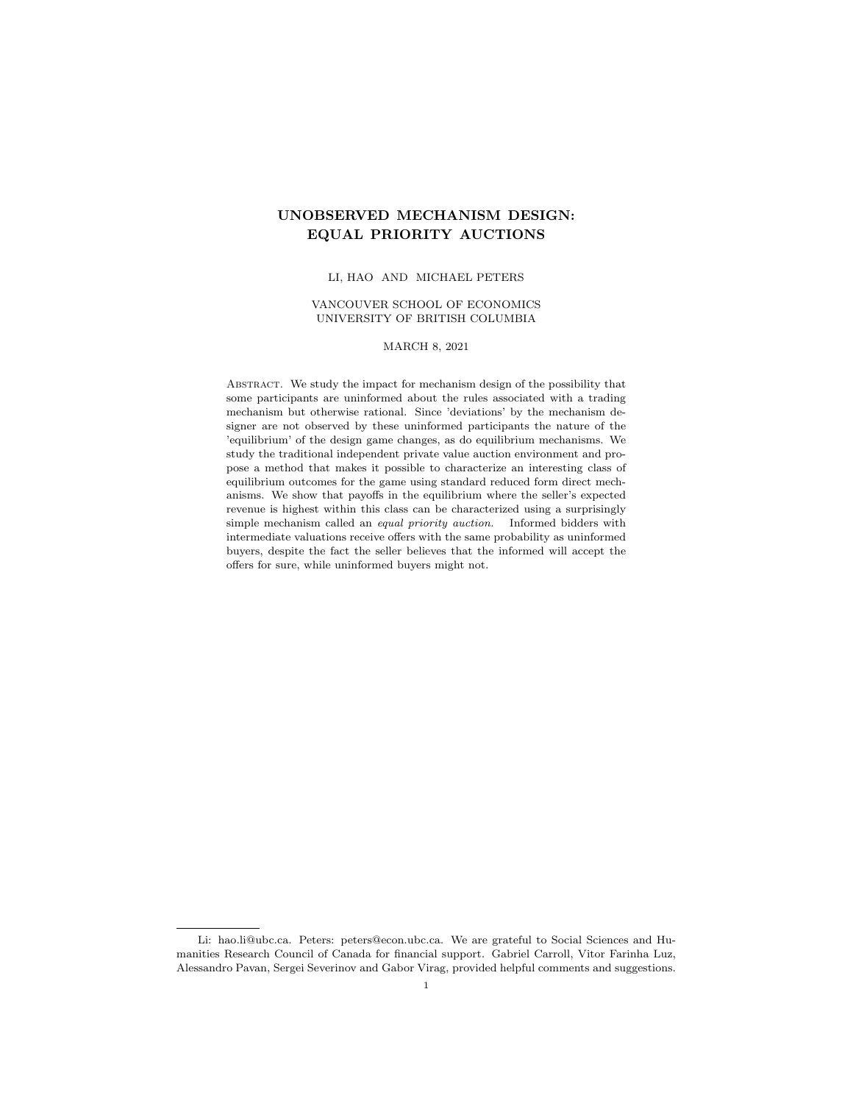# UNOBSERVED MECHANISM DESIGN: EQUAL PRIORITY AUCTIONS

### LI, HAO AND MICHAEL PETERS

### VANCOUVER SCHOOL OF ECONOMICS UNIVERSITY OF BRITISH COLUMBIA

# MARCH 8, 2021

Abstract. We study the impact for mechanism design of the possibility that some participants are uninformed about the rules associated with a trading mechanism but otherwise rational. Since 'deviations' by the mechanism designer are not observed by these uninformed participants the nature of the 'equilibrium' of the design game changes, as do equilibrium mechanisms. We study the traditional independent private value auction environment and propose a method that makes it possible to characterize an interesting class of equilibrium outcomes for the game using standard reduced form direct mechanisms. We show that payoffs in the equilibrium where the seller's expected revenue is highest within this class can be characterized using a surprisingly simple mechanism called an equal priority auction. Informed bidders with intermediate valuations receive offers with the same probability as uninformed buyers, despite the fact the seller believes that the informed will accept the offers for sure, while uninformed buyers might not.

Li: hao.li@ubc.ca. Peters: peters@econ.ubc.ca. We are grateful to Social Sciences and Humanities Research Council of Canada for financial support. Gabriel Carroll, Vitor Farinha Luz, Alessandro Pavan, Sergei Severinov and Gabor Virag, provided helpful comments and suggestions.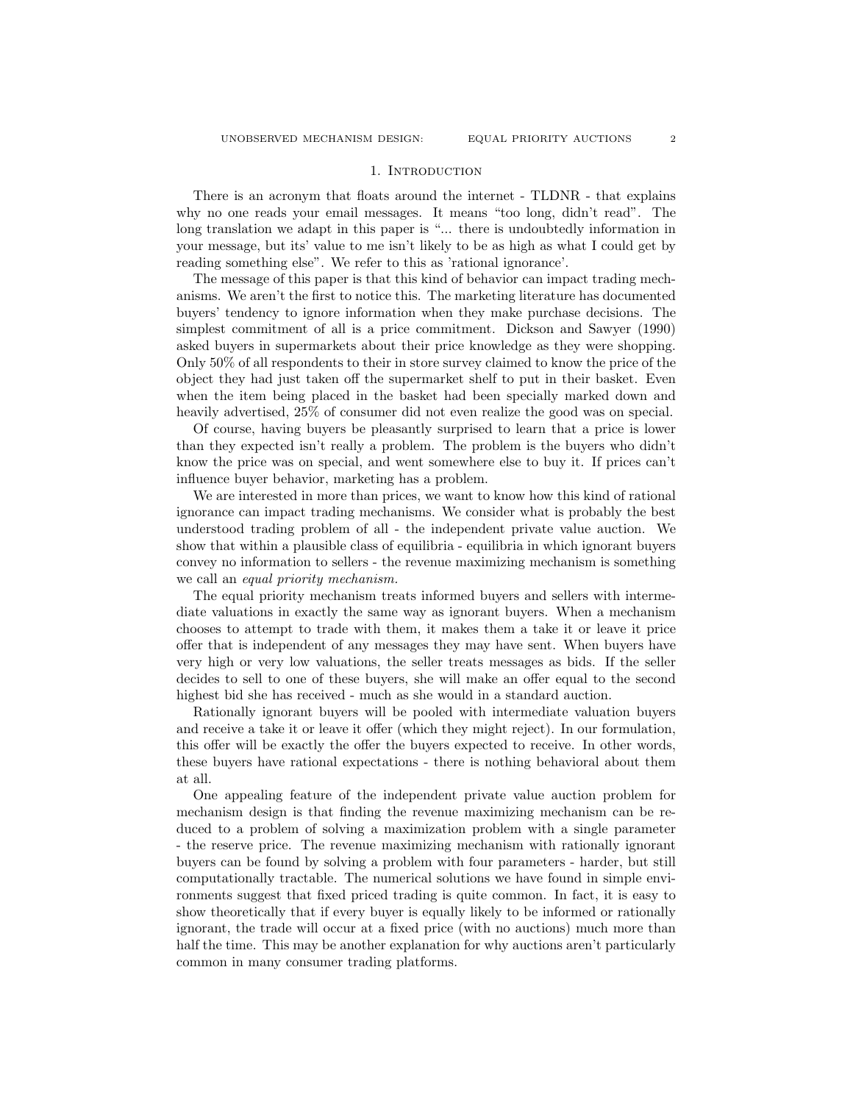### 1. INTRODUCTION

There is an acronym that floats around the internet - TLDNR - that explains why no one reads your email messages. It means "too long, didn't read". The long translation we adapt in this paper is "... there is undoubtedly information in your message, but its' value to me isn't likely to be as high as what I could get by reading something else". We refer to this as 'rational ignorance'.

The message of this paper is that this kind of behavior can impact trading mechanisms. We aren't the first to notice this. The marketing literature has documented buyers' tendency to ignore information when they make purchase decisions. The simplest commitment of all is a price commitment. Dickson and Sawyer (1990) asked buyers in supermarkets about their price knowledge as they were shopping. Only 50% of all respondents to their in store survey claimed to know the price of the object they had just taken off the supermarket shelf to put in their basket. Even when the item being placed in the basket had been specially marked down and heavily advertised, 25% of consumer did not even realize the good was on special.

Of course, having buyers be pleasantly surprised to learn that a price is lower than they expected isn't really a problem. The problem is the buyers who didn't know the price was on special, and went somewhere else to buy it. If prices can't influence buyer behavior, marketing has a problem.

We are interested in more than prices, we want to know how this kind of rational ignorance can impact trading mechanisms. We consider what is probably the best understood trading problem of all - the independent private value auction. We show that within a plausible class of equilibria - equilibria in which ignorant buyers convey no information to sellers - the revenue maximizing mechanism is something we call an equal priority mechanism.

The equal priority mechanism treats informed buyers and sellers with intermediate valuations in exactly the same way as ignorant buyers. When a mechanism chooses to attempt to trade with them, it makes them a take it or leave it price offer that is independent of any messages they may have sent. When buyers have very high or very low valuations, the seller treats messages as bids. If the seller decides to sell to one of these buyers, she will make an offer equal to the second highest bid she has received - much as she would in a standard auction.

Rationally ignorant buyers will be pooled with intermediate valuation buyers and receive a take it or leave it offer (which they might reject). In our formulation, this offer will be exactly the offer the buyers expected to receive. In other words, these buyers have rational expectations - there is nothing behavioral about them at all.

One appealing feature of the independent private value auction problem for mechanism design is that finding the revenue maximizing mechanism can be reduced to a problem of solving a maximization problem with a single parameter - the reserve price. The revenue maximizing mechanism with rationally ignorant buyers can be found by solving a problem with four parameters - harder, but still computationally tractable. The numerical solutions we have found in simple environments suggest that fixed priced trading is quite common. In fact, it is easy to show theoretically that if every buyer is equally likely to be informed or rationally ignorant, the trade will occur at a fixed price (with no auctions) much more than half the time. This may be another explanation for why auctions aren't particularly common in many consumer trading platforms.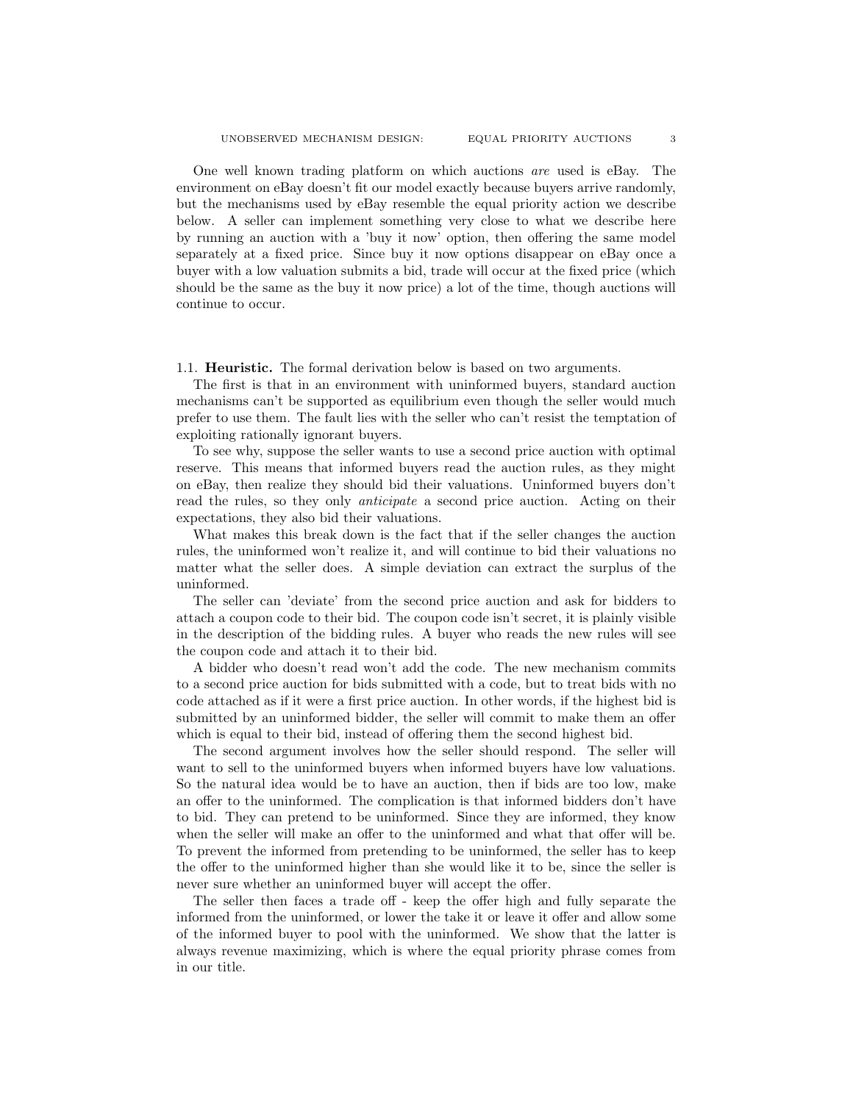One well known trading platform on which auctions are used is eBay. The environment on eBay doesn't fit our model exactly because buyers arrive randomly, but the mechanisms used by eBay resemble the equal priority action we describe below. A seller can implement something very close to what we describe here by running an auction with a 'buy it now' option, then offering the same model separately at a fixed price. Since buy it now options disappear on eBay once a buyer with a low valuation submits a bid, trade will occur at the fixed price (which should be the same as the buy it now price) a lot of the time, though auctions will continue to occur.

# 1.1. Heuristic. The formal derivation below is based on two arguments.

The first is that in an environment with uninformed buyers, standard auction mechanisms can't be supported as equilibrium even though the seller would much prefer to use them. The fault lies with the seller who can't resist the temptation of exploiting rationally ignorant buyers.

To see why, suppose the seller wants to use a second price auction with optimal reserve. This means that informed buyers read the auction rules, as they might on eBay, then realize they should bid their valuations. Uninformed buyers don't read the rules, so they only anticipate a second price auction. Acting on their expectations, they also bid their valuations.

What makes this break down is the fact that if the seller changes the auction rules, the uninformed won't realize it, and will continue to bid their valuations no matter what the seller does. A simple deviation can extract the surplus of the uninformed.

The seller can 'deviate' from the second price auction and ask for bidders to attach a coupon code to their bid. The coupon code isn't secret, it is plainly visible in the description of the bidding rules. A buyer who reads the new rules will see the coupon code and attach it to their bid.

A bidder who doesn't read won't add the code. The new mechanism commits to a second price auction for bids submitted with a code, but to treat bids with no code attached as if it were a first price auction. In other words, if the highest bid is submitted by an uninformed bidder, the seller will commit to make them an offer which is equal to their bid, instead of offering them the second highest bid.

The second argument involves how the seller should respond. The seller will want to sell to the uninformed buyers when informed buyers have low valuations. So the natural idea would be to have an auction, then if bids are too low, make an offer to the uninformed. The complication is that informed bidders don't have to bid. They can pretend to be uninformed. Since they are informed, they know when the seller will make an offer to the uninformed and what that offer will be. To prevent the informed from pretending to be uninformed, the seller has to keep the offer to the uninformed higher than she would like it to be, since the seller is never sure whether an uninformed buyer will accept the offer.

The seller then faces a trade off - keep the offer high and fully separate the informed from the uninformed, or lower the take it or leave it offer and allow some of the informed buyer to pool with the uninformed. We show that the latter is always revenue maximizing, which is where the equal priority phrase comes from in our title.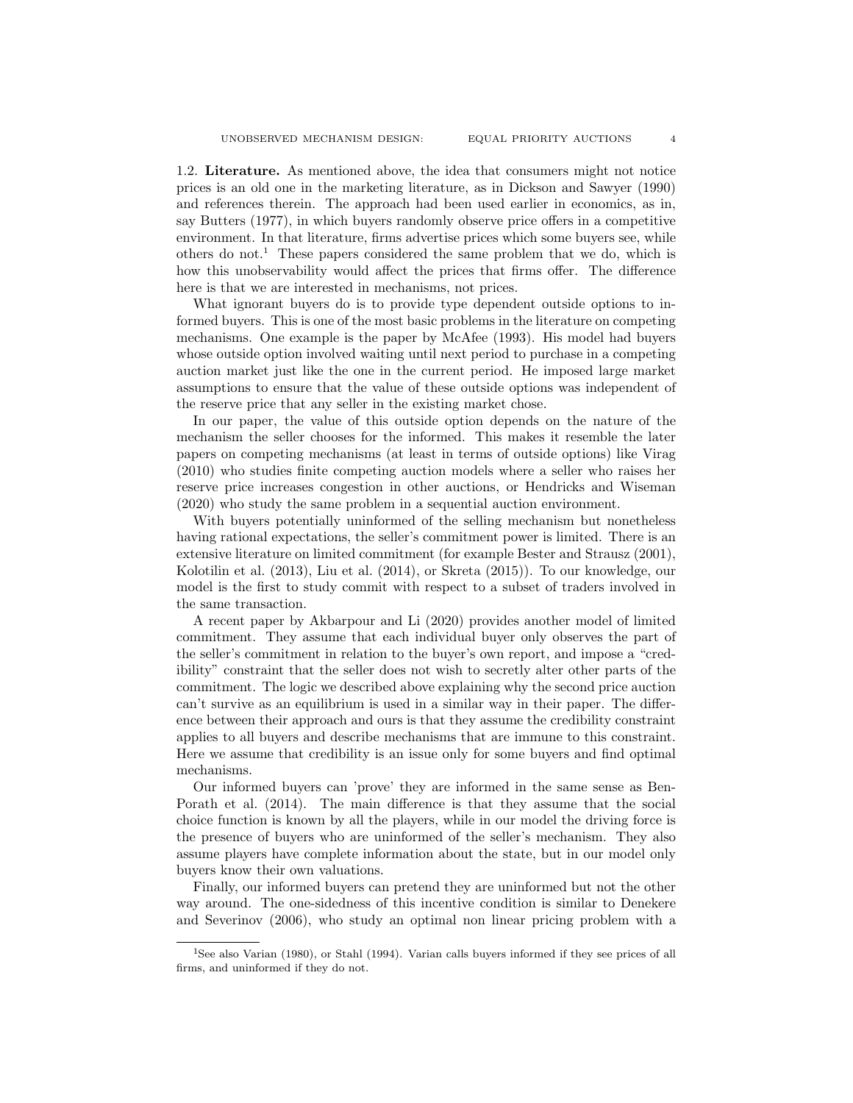1.2. Literature. As mentioned above, the idea that consumers might not notice prices is an old one in the marketing literature, as in Dickson and Sawyer (1990) and references therein. The approach had been used earlier in economics, as in, say Butters (1977), in which buyers randomly observe price offers in a competitive environment. In that literature, firms advertise prices which some buyers see, while others do not.<sup>1</sup> These papers considered the same problem that we do, which is how this unobservability would affect the prices that firms offer. The difference here is that we are interested in mechanisms, not prices.

What ignorant buyers do is to provide type dependent outside options to informed buyers. This is one of the most basic problems in the literature on competing mechanisms. One example is the paper by McAfee (1993). His model had buyers whose outside option involved waiting until next period to purchase in a competing auction market just like the one in the current period. He imposed large market assumptions to ensure that the value of these outside options was independent of the reserve price that any seller in the existing market chose.

In our paper, the value of this outside option depends on the nature of the mechanism the seller chooses for the informed. This makes it resemble the later papers on competing mechanisms (at least in terms of outside options) like Virag (2010) who studies finite competing auction models where a seller who raises her reserve price increases congestion in other auctions, or Hendricks and Wiseman (2020) who study the same problem in a sequential auction environment.

With buyers potentially uninformed of the selling mechanism but nonetheless having rational expectations, the seller's commitment power is limited. There is an extensive literature on limited commitment (for example Bester and Strausz (2001), Kolotilin et al. (2013), Liu et al. (2014), or Skreta (2015)). To our knowledge, our model is the first to study commit with respect to a subset of traders involved in the same transaction.

A recent paper by Akbarpour and Li (2020) provides another model of limited commitment. They assume that each individual buyer only observes the part of the seller's commitment in relation to the buyer's own report, and impose a "credibility" constraint that the seller does not wish to secretly alter other parts of the commitment. The logic we described above explaining why the second price auction can't survive as an equilibrium is used in a similar way in their paper. The difference between their approach and ours is that they assume the credibility constraint applies to all buyers and describe mechanisms that are immune to this constraint. Here we assume that credibility is an issue only for some buyers and find optimal mechanisms.

Our informed buyers can 'prove' they are informed in the same sense as Ben-Porath et al. (2014). The main difference is that they assume that the social choice function is known by all the players, while in our model the driving force is the presence of buyers who are uninformed of the seller's mechanism. They also assume players have complete information about the state, but in our model only buyers know their own valuations.

Finally, our informed buyers can pretend they are uninformed but not the other way around. The one-sidedness of this incentive condition is similar to Denekere and Severinov (2006), who study an optimal non linear pricing problem with a

<sup>&</sup>lt;sup>1</sup>See also Varian (1980), or Stahl (1994). Varian calls buyers informed if they see prices of all firms, and uninformed if they do not.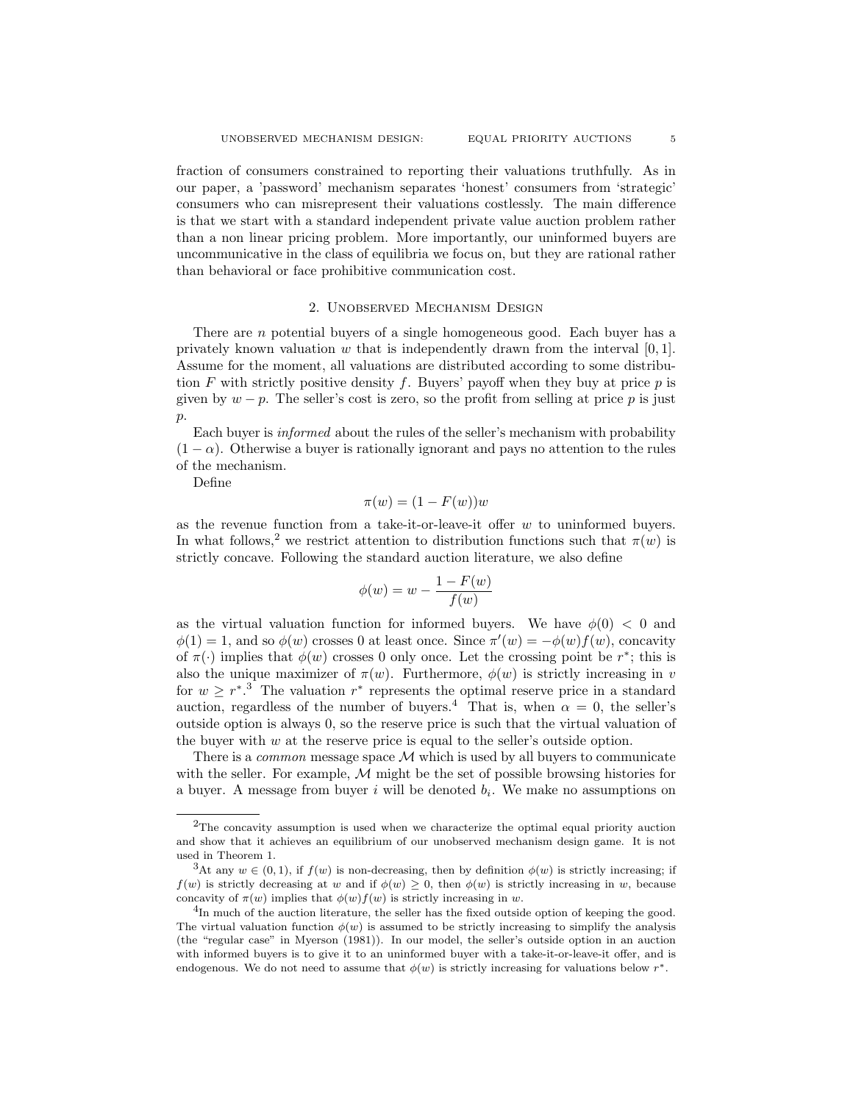fraction of consumers constrained to reporting their valuations truthfully. As in our paper, a 'password' mechanism separates 'honest' consumers from 'strategic' consumers who can misrepresent their valuations costlessly. The main difference is that we start with a standard independent private value auction problem rather than a non linear pricing problem. More importantly, our uninformed buyers are uncommunicative in the class of equilibria we focus on, but they are rational rather than behavioral or face prohibitive communication cost.

### 2. Unobserved Mechanism Design

There are *n* potential buyers of a single homogeneous good. Each buyer has a privately known valuation w that is independently drawn from the interval  $[0, 1]$ . Assume for the moment, all valuations are distributed according to some distribution  $F$  with strictly positive density  $f$ . Buyers' payoff when they buy at price  $p$  is given by  $w - p$ . The seller's cost is zero, so the profit from selling at price p is just p.

Each buyer is informed about the rules of the seller's mechanism with probability  $(1 - \alpha)$ . Otherwise a buyer is rationally ignorant and pays no attention to the rules of the mechanism.

Define

$$
\pi(w) = (1 - F(w))w
$$

as the revenue function from a take-it-or-leave-it offer  $w$  to uninformed buyers. In what follows,<sup>2</sup> we restrict attention to distribution functions such that  $\pi(w)$  is strictly concave. Following the standard auction literature, we also define

$$
\phi(w) = w - \frac{1 - F(w)}{f(w)}
$$

as the virtual valuation function for informed buyers. We have  $\phi(0) < 0$  and  $\phi(1) = 1$ , and so  $\phi(w)$  crosses 0 at least once. Since  $\pi'(w) = -\phi(w) f(w)$ , concavity of  $\pi(\cdot)$  implies that  $\phi(w)$  crosses 0 only once. Let the crossing point be r<sup>\*</sup>; this is also the unique maximizer of  $\pi(w)$ . Furthermore,  $\phi(w)$  is strictly increasing in v for  $w \geq r^{*3}$ . The valuation  $r^{*}$  represents the optimal reserve price in a standard auction, regardless of the number of buyers.<sup>4</sup> That is, when  $\alpha = 0$ , the seller's outside option is always 0, so the reserve price is such that the virtual valuation of the buyer with  $w$  at the reserve price is equal to the seller's outside option.

There is a *common* message space  $M$  which is used by all buyers to communicate with the seller. For example,  $M$  might be the set of possible browsing histories for a buyer. A message from buyer  $i$  will be denoted  $b_i$ . We make no assumptions on

<sup>2</sup>The concavity assumption is used when we characterize the optimal equal priority auction and show that it achieves an equilibrium of our unobserved mechanism design game. It is not used in Theorem 1.

<sup>&</sup>lt;sup>3</sup>At any  $w \in (0,1)$ , if  $f(w)$  is non-decreasing, then by definition  $\phi(w)$  is strictly increasing; if  $f(w)$  is strictly decreasing at w and if  $\phi(w) \geq 0$ , then  $\phi(w)$  is strictly increasing in w, because concavity of  $\pi(w)$  implies that  $\phi(w)f(w)$  is strictly increasing in w.

 ${}^{4}$ In much of the auction literature, the seller has the fixed outside option of keeping the good. The virtual valuation function  $\phi(w)$  is assumed to be strictly increasing to simplify the analysis (the "regular case" in Myerson (1981)). In our model, the seller's outside option in an auction with informed buyers is to give it to an uninformed buyer with a take-it-or-leave-it offer, and is endogenous. We do not need to assume that  $\phi(w)$  is strictly increasing for valuations below  $r^*$ .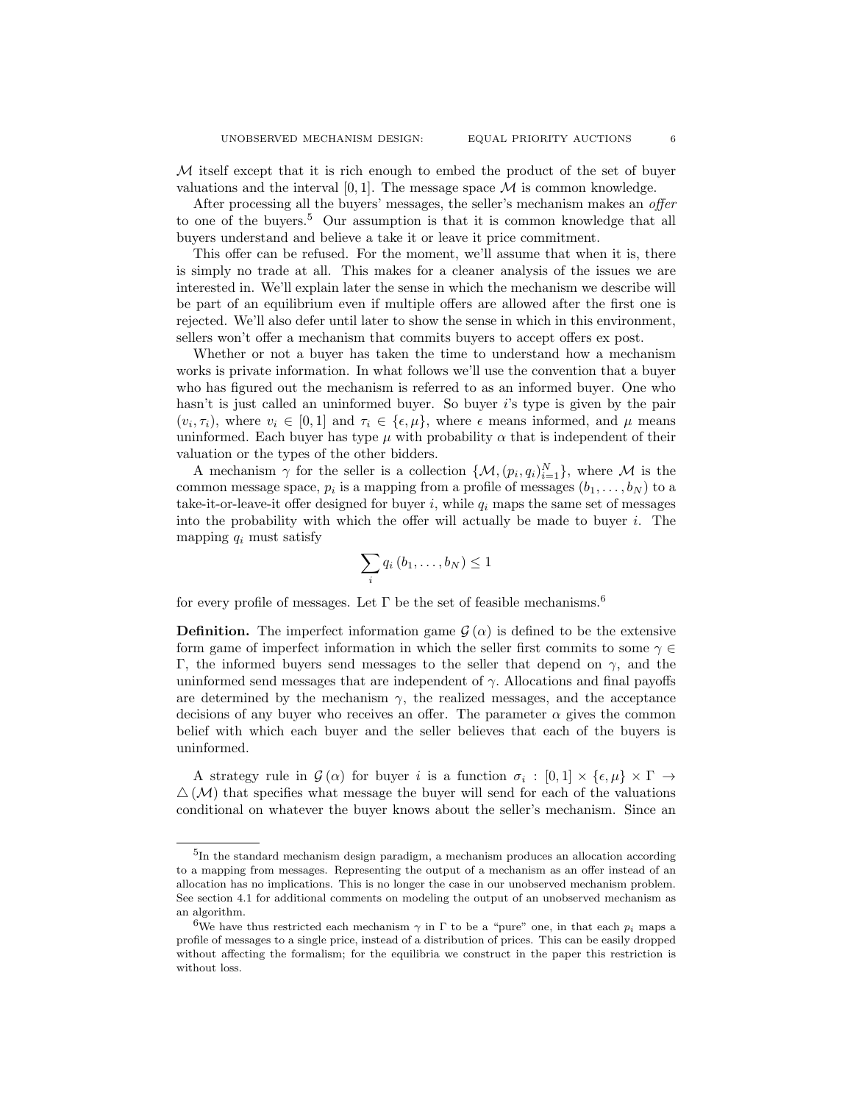M itself except that it is rich enough to embed the product of the set of buyer valuations and the interval  $[0, 1]$ . The message space  $\mathcal M$  is common knowledge.

After processing all the buyers' messages, the seller's mechanism makes an *offer* to one of the buyers.<sup>5</sup> Our assumption is that it is common knowledge that all buyers understand and believe a take it or leave it price commitment.

This offer can be refused. For the moment, we'll assume that when it is, there is simply no trade at all. This makes for a cleaner analysis of the issues we are interested in. We'll explain later the sense in which the mechanism we describe will be part of an equilibrium even if multiple offers are allowed after the first one is rejected. We'll also defer until later to show the sense in which in this environment, sellers won't offer a mechanism that commits buyers to accept offers ex post.

Whether or not a buyer has taken the time to understand how a mechanism works is private information. In what follows we'll use the convention that a buyer who has figured out the mechanism is referred to as an informed buyer. One who hasn't is just called an uninformed buyer. So buyer is type is given by the pair  $(v_i, \tau_i)$ , where  $v_i \in [0, 1]$  and  $\tau_i \in \{\epsilon, \mu\}$ , where  $\epsilon$  means informed, and  $\mu$  means uninformed. Each buyer has type  $\mu$  with probability  $\alpha$  that is independent of their valuation or the types of the other bidders.

A mechanism  $\gamma$  for the seller is a collection  $\{\mathcal{M}, (p_i, q_i)_{i=1}^N\}$ , where  $\mathcal M$  is the common message space,  $p_i$  is a mapping from a profile of messages  $(b_1, \ldots, b_N)$  to a take-it-or-leave-it offer designed for buyer  $i$ , while  $q_i$  maps the same set of messages into the probability with which the offer will actually be made to buyer i. The mapping  $q_i$  must satisfy

$$
\sum_i q_i (b_1,\ldots,b_N) \leq 1
$$

for every profile of messages. Let  $\Gamma$  be the set of feasible mechanisms.<sup>6</sup>

**Definition.** The imperfect information game  $\mathcal{G}(\alpha)$  is defined to be the extensive form game of imperfect information in which the seller first commits to some  $\gamma \in$ Γ, the informed buyers send messages to the seller that depend on  $γ$ , and the uninformed send messages that are independent of  $\gamma$ . Allocations and final payoffs are determined by the mechanism  $\gamma$ , the realized messages, and the acceptance decisions of any buyer who receives an offer. The parameter  $\alpha$  gives the common belief with which each buyer and the seller believes that each of the buyers is uninformed.

A strategy rule in  $\mathcal{G}(\alpha)$  for buyer i is a function  $\sigma_i : [0,1] \times {\epsilon, \mu} \times \Gamma \to$  $\Delta(M)$  that specifies what message the buyer will send for each of the valuations conditional on whatever the buyer knows about the seller's mechanism. Since an

<sup>5</sup> In the standard mechanism design paradigm, a mechanism produces an allocation according to a mapping from messages. Representing the output of a mechanism as an offer instead of an allocation has no implications. This is no longer the case in our unobserved mechanism problem. See section 4.1 for additional comments on modeling the output of an unobserved mechanism as an algorithm.

<sup>&</sup>lt;sup>6</sup>We have thus restricted each mechanism  $\gamma$  in  $\Gamma$  to be a "pure" one, in that each  $p_i$  maps a profile of messages to a single price, instead of a distribution of prices. This can be easily dropped without affecting the formalism; for the equilibria we construct in the paper this restriction is without loss.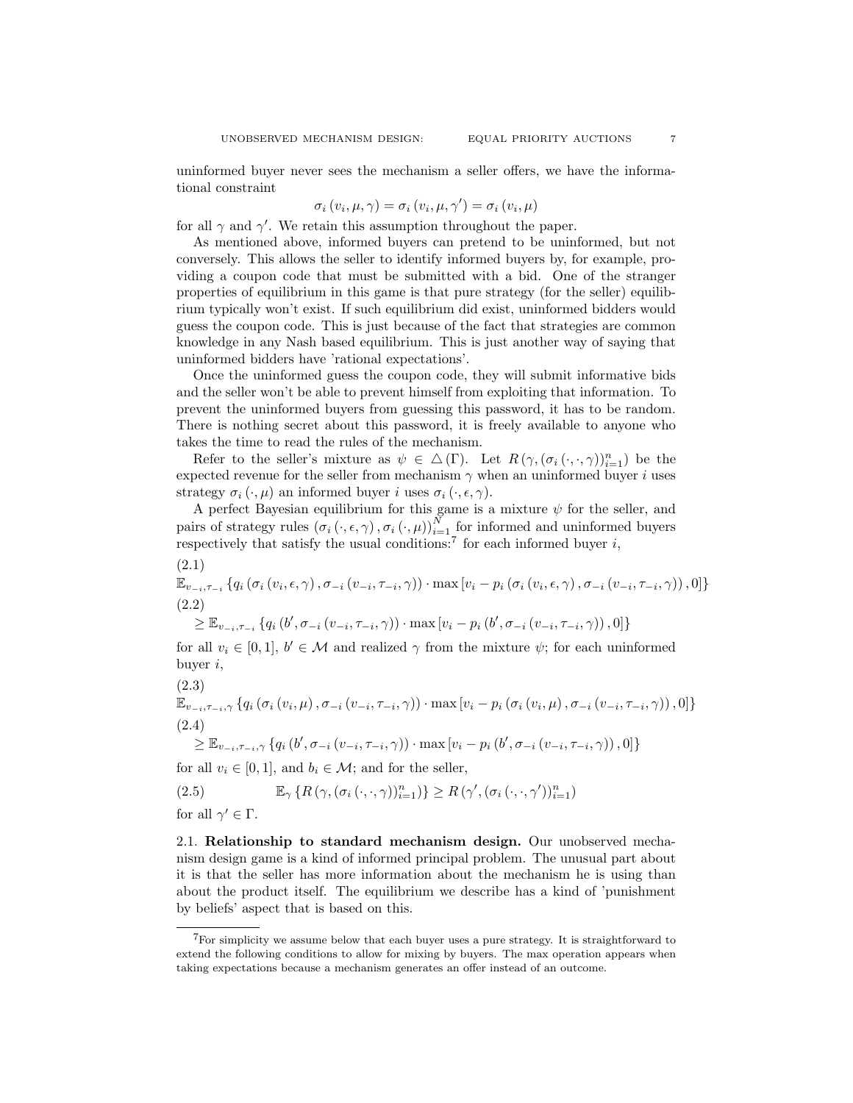uninformed buyer never sees the mechanism a seller offers, we have the informational constraint

$$
\sigma_i(v_i, \mu, \gamma) = \sigma_i(v_i, \mu, \gamma') = \sigma_i(v_i, \mu)
$$

for all  $\gamma$  and  $\gamma'$ . We retain this assumption throughout the paper.

As mentioned above, informed buyers can pretend to be uninformed, but not conversely. This allows the seller to identify informed buyers by, for example, providing a coupon code that must be submitted with a bid. One of the stranger properties of equilibrium in this game is that pure strategy (for the seller) equilibrium typically won't exist. If such equilibrium did exist, uninformed bidders would guess the coupon code. This is just because of the fact that strategies are common knowledge in any Nash based equilibrium. This is just another way of saying that uninformed bidders have 'rational expectations'.

Once the uninformed guess the coupon code, they will submit informative bids and the seller won't be able to prevent himself from exploiting that information. To prevent the uninformed buyers from guessing this password, it has to be random. There is nothing secret about this password, it is freely available to anyone who takes the time to read the rules of the mechanism.

Refer to the seller's mixture as  $\psi \in \Delta(\Gamma)$ . Let  $R(\gamma, (\sigma_i(\cdot, \cdot, \gamma))_{i=1}^n)$  be the expected revenue for the seller from mechanism  $\gamma$  when an uninformed buyer i uses strategy  $\sigma_i(\cdot,\mu)$  an informed buyer i uses  $\sigma_i(\cdot,\epsilon,\gamma)$ .

A perfect Bayesian equilibrium for this game is a mixture  $\psi$  for the seller, and pairs of strategy rules  $(\sigma_i(\cdot,\epsilon,\gamma), \sigma_i(\cdot,\mu))_{i=1}^N$  for informed and uninformed buyers respectively that satisfy the usual conditions:<sup>7</sup> for each informed buyer  $i$ ,

$$
\mathbb{E}_{v_{-i},\tau_{-i}}\left\{q_i\left(\sigma_i\left(v_i,\epsilon,\gamma\right),\sigma_{-i}\left(v_{-i},\tau_{-i},\gamma\right)\right)\cdot\max\left[v_i-p_i\left(\sigma_i\left(v_i,\epsilon,\gamma\right),\sigma_{-i}\left(v_{-i},\tau_{-i},\gamma\right)\right),0\right]\right\}
$$
\n(2.2)

$$
\geq \mathbb{E}_{v_{-i}, \tau_{-i}} \left\{ q_i \left( b', \sigma_{-i} \left( v_{-i}, \tau_{-i}, \gamma \right) \right) \cdot \max \left[ v_i - p_i \left( b', \sigma_{-i} \left( v_{-i}, \tau_{-i}, \gamma \right) \right), 0 \right] \right\}
$$

for all  $v_i \in [0,1], b' \in \mathcal{M}$  and realized  $\gamma$  from the mixture  $\psi$ ; for each uninformed buyer i,

$$
(2.3)
$$

 $(2.1)$ 

$$
\mathbb{E}_{v_{-i},\tau_{-i},\gamma} \left\{ q_i \left( \sigma_i \left( v_i, \mu \right), \sigma_{-i} \left( v_{-i}, \tau_{-i}, \gamma \right) \right) \cdot \max \left[ v_i - p_i \left( \sigma_i \left( v_i, \mu \right), \sigma_{-i} \left( v_{-i}, \tau_{-i}, \gamma \right) \right), 0 \right] \right\}
$$
\n(2.4)

$$
\geq \mathbb{E}_{v_{-i}, \tau_{-i}, \gamma} \left\{ q_i \left( b', \sigma_{-i} \left( v_{-i}, \tau_{-i}, \gamma \right) \right) \cdot \max \left[ v_i - p_i \left( b', \sigma_{-i} \left( v_{-i}, \tau_{-i}, \gamma \right) \right), 0 \right] \right\}
$$

for all  $v_i \in [0, 1]$ , and  $b_i \in \mathcal{M}$ ; and for the seller,

(2.5) 
$$
\mathbb{E}_{\gamma} \left\{ R \left( \gamma, (\sigma_i(\cdot,\cdot,\gamma))_{i=1}^n \right) \right\} \geq R \left( \gamma', (\sigma_i(\cdot,\cdot,\gamma'))_{i=1}^n \right)
$$

for all  $\gamma' \in \Gamma$ .

2.1. Relationship to standard mechanism design. Our unobserved mechanism design game is a kind of informed principal problem. The unusual part about it is that the seller has more information about the mechanism he is using than about the product itself. The equilibrium we describe has a kind of 'punishment by beliefs' aspect that is based on this.

 $7$ For simplicity we assume below that each buyer uses a pure strategy. It is straightforward to extend the following conditions to allow for mixing by buyers. The max operation appears when taking expectations because a mechanism generates an offer instead of an outcome.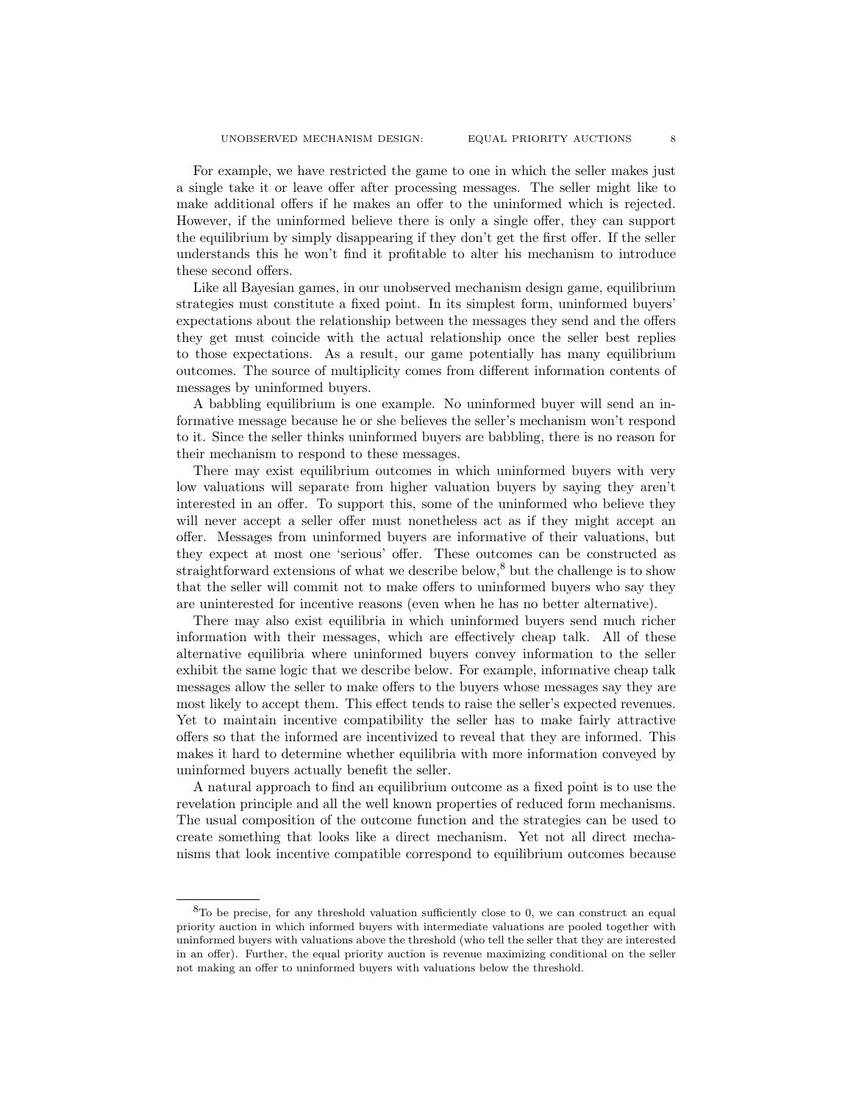For example, we have restricted the game to one in which the seller makes just a single take it or leave offer after processing messages. The seller might like to make additional offers if he makes an offer to the uninformed which is rejected. However, if the uninformed believe there is only a single offer, they can support the equilibrium by simply disappearing if they don't get the first offer. If the seller understands this he won't find it profitable to alter his mechanism to introduce these second offers.

Like all Bayesian games, in our unobserved mechanism design game, equilibrium strategies must constitute a fixed point. In its simplest form, uninformed buyers' expectations about the relationship between the messages they send and the offers they get must coincide with the actual relationship once the seller best replies to those expectations. As a result, our game potentially has many equilibrium outcomes. The source of multiplicity comes from different information contents of messages by uninformed buyers.

A babbling equilibrium is one example. No uninformed buyer will send an informative message because he or she believes the seller's mechanism won't respond to it. Since the seller thinks uninformed buyers are babbling, there is no reason for their mechanism to respond to these messages.

There may exist equilibrium outcomes in which uninformed buyers with very low valuations will separate from higher valuation buyers by saying they aren't interested in an offer. To support this, some of the uninformed who believe they will never accept a seller offer must nonetheless act as if they might accept an offer. Messages from uninformed buyers are informative of their valuations, but they expect at most one 'serious' offer. These outcomes can be constructed as straightforward extensions of what we describe below,<sup>8</sup> but the challenge is to show that the seller will commit not to make offers to uninformed buyers who say they are uninterested for incentive reasons (even when he has no better alternative).

There may also exist equilibria in which uninformed buyers send much richer information with their messages, which are effectively cheap talk. All of these alternative equilibria where uninformed buyers convey information to the seller exhibit the same logic that we describe below. For example, informative cheap talk messages allow the seller to make offers to the buyers whose messages say they are most likely to accept them. This effect tends to raise the seller's expected revenues. Yet to maintain incentive compatibility the seller has to make fairly attractive offers so that the informed are incentivized to reveal that they are informed. This makes it hard to determine whether equilibria with more information conveyed by uninformed buyers actually benefit the seller.

A natural approach to find an equilibrium outcome as a fixed point is to use the revelation principle and all the well known properties of reduced form mechanisms. The usual composition of the outcome function and the strategies can be used to create something that looks like a direct mechanism. Yet not all direct mechanisms that look incentive compatible correspond to equilibrium outcomes because

<sup>8</sup>To be precise, for any threshold valuation sufficiently close to 0, we can construct an equal priority auction in which informed buyers with intermediate valuations are pooled together with uninformed buyers with valuations above the threshold (who tell the seller that they are interested in an offer). Further, the equal priority auction is revenue maximizing conditional on the seller not making an offer to uninformed buyers with valuations below the threshold.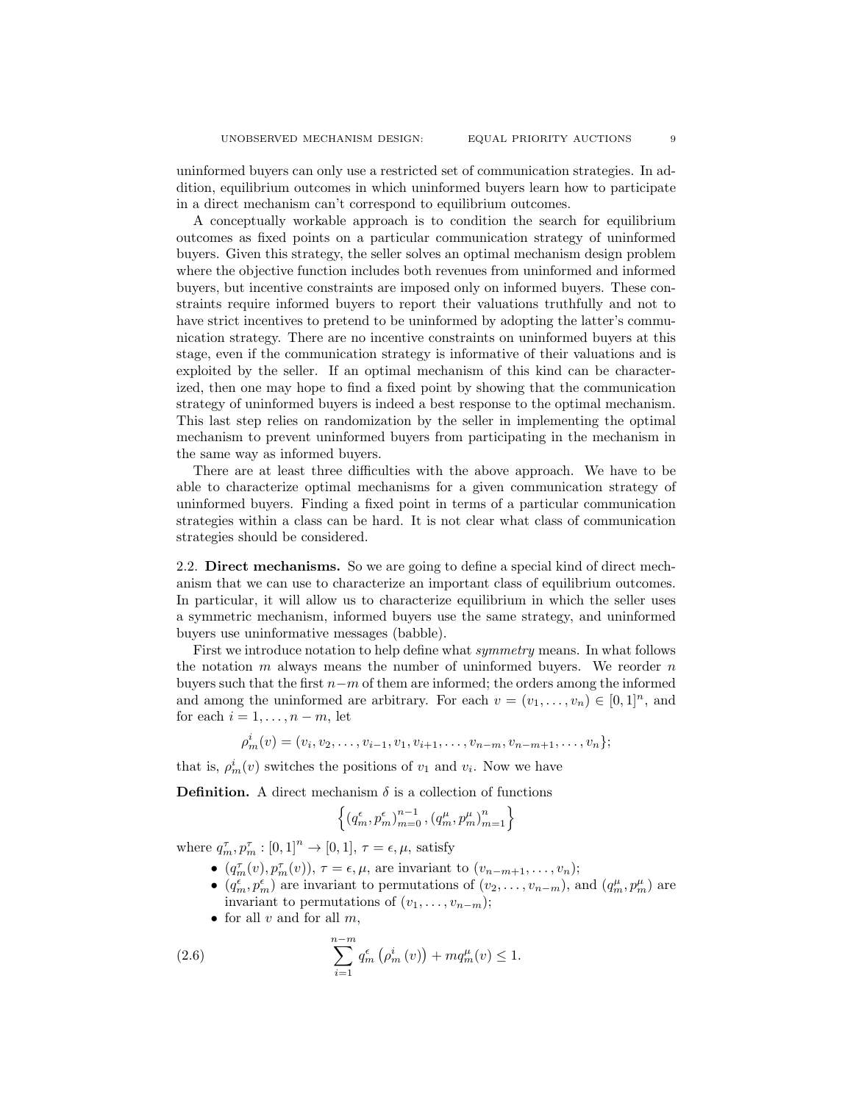uninformed buyers can only use a restricted set of communication strategies. In addition, equilibrium outcomes in which uninformed buyers learn how to participate in a direct mechanism can't correspond to equilibrium outcomes.

A conceptually workable approach is to condition the search for equilibrium outcomes as fixed points on a particular communication strategy of uninformed buyers. Given this strategy, the seller solves an optimal mechanism design problem where the objective function includes both revenues from uninformed and informed buyers, but incentive constraints are imposed only on informed buyers. These constraints require informed buyers to report their valuations truthfully and not to have strict incentives to pretend to be uninformed by adopting the latter's communication strategy. There are no incentive constraints on uninformed buyers at this stage, even if the communication strategy is informative of their valuations and is exploited by the seller. If an optimal mechanism of this kind can be characterized, then one may hope to find a fixed point by showing that the communication strategy of uninformed buyers is indeed a best response to the optimal mechanism. This last step relies on randomization by the seller in implementing the optimal mechanism to prevent uninformed buyers from participating in the mechanism in the same way as informed buyers.

There are at least three difficulties with the above approach. We have to be able to characterize optimal mechanisms for a given communication strategy of uninformed buyers. Finding a fixed point in terms of a particular communication strategies within a class can be hard. It is not clear what class of communication strategies should be considered.

2.2. Direct mechanisms. So we are going to define a special kind of direct mechanism that we can use to characterize an important class of equilibrium outcomes. In particular, it will allow us to characterize equilibrium in which the seller uses a symmetric mechanism, informed buyers use the same strategy, and uninformed buyers use uninformative messages (babble).

First we introduce notation to help define what symmetry means. In what follows the notation  $m$  always means the number of uninformed buyers. We reorder  $n$ buyers such that the first  $n-m$  of them are informed; the orders among the informed and among the uninformed are arbitrary. For each  $v = (v_1, \ldots, v_n) \in [0, 1]^n$ , and for each  $i = 1, \ldots, n-m$ , let

$$
\rho_m^i(v) = (v_i, v_2, \dots, v_{i-1}, v_1, v_{i+1}, \dots, v_{n-m}, v_{n-m+1}, \dots, v_n);
$$

that is,  $\rho_m^i(v)$  switches the positions of  $v_1$  and  $v_i$ . Now we have

**Definition.** A direct mechanism  $\delta$  is a collection of functions

$$
\left\{ \left(q_m^\epsilon, p_m^\epsilon \right)_{m=0}^{n-1}, \left(q_m^\mu, p_m^\mu \right)_{m=1}^n \right\}
$$

where  $q_m^{\tau}, p_m^{\tau} : [0, 1]^n \to [0, 1], \tau = \epsilon, \mu$ , satisfy

- $(q_m^{\tau}(v), p_m^{\tau}(v)), \tau = \epsilon, \mu$ , are invariant to  $(v_{n-m+1}, \ldots, v_n);$
- $(q_m^{\epsilon}, p_m^{\epsilon})$  are invariant to permutations of  $(v_2, \ldots, v_{n-m})$ , and  $(q_m^{\mu}, p_m^{\mu})$  are invariant to permutations of  $(v_1, \ldots, v_{n-m});$
- for all  $v$  and for all  $m$ ,

(2.6) 
$$
\sum_{i=1}^{n-m} q_m^{\epsilon} (\rho_m^i (v)) + m q_m^{\mu} (v) \le 1.
$$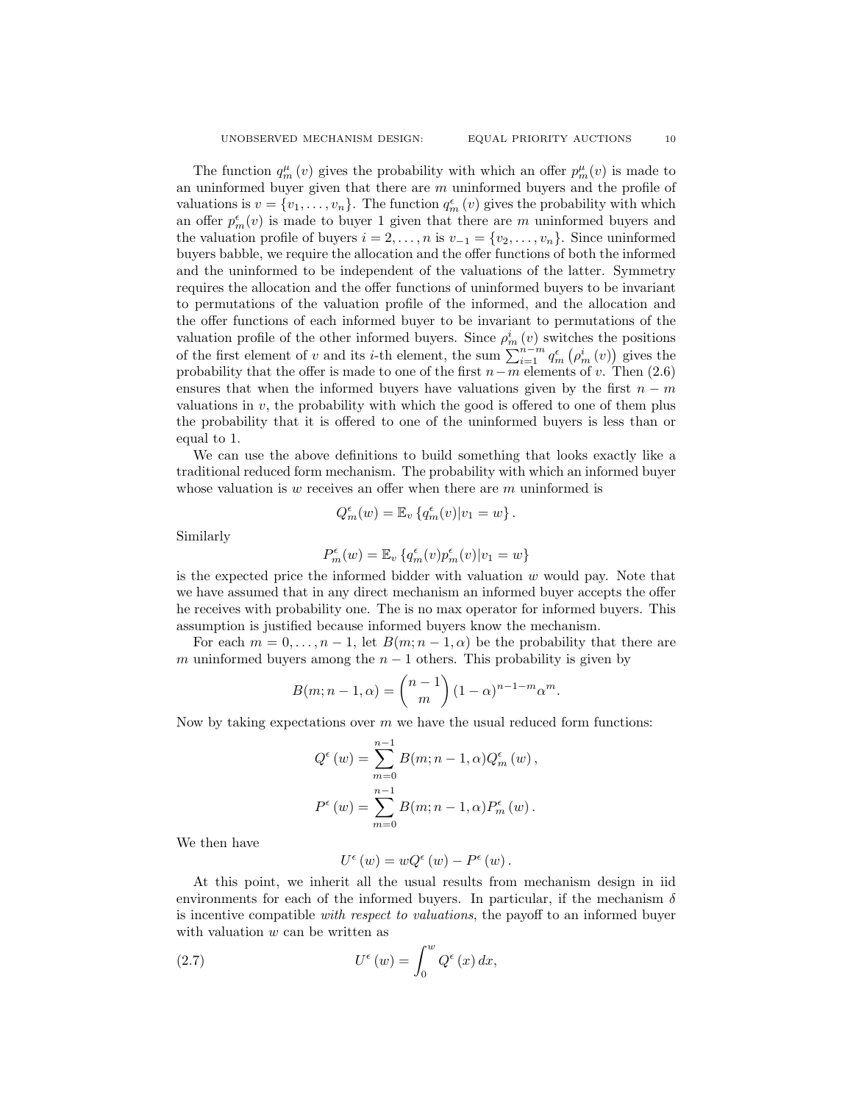The function  $q_m^{\mu}(v)$  gives the probability with which an offer  $p_m^{\mu}(v)$  is made to an uninformed buyer given that there are  $m$  uninformed buyers and the profile of valuations is  $v = \{v_1, \ldots, v_n\}$ . The function  $q_m^{\epsilon}(v)$  gives the probability with which an offer  $p_m^{\epsilon}(v)$  is made to buyer 1 given that there are m uninformed buyers and the valuation profile of buyers  $i = 2, \ldots, n$  is  $v_{-1} = \{v_2, \ldots, v_n\}$ . Since uninformed buyers babble, we require the allocation and the offer functions of both the informed and the uninformed to be independent of the valuations of the latter. Symmetry requires the allocation and the offer functions of uninformed buyers to be invariant to permutations of the valuation profile of the informed, and the allocation and the offer functions of each informed buyer to be invariant to permutations of the valuation profile of the other informed buyers. Since  $\rho_m^i(v)$  switches the positions of the first element of v and its i-th element, the sum  $\sum_{i=1}^{m-n} q_m^{\epsilon} (\rho_m^i(v))$  gives the probability that the offer is made to one of the first  $n-m$  elements of v. Then (2.6) ensures that when the informed buyers have valuations given by the first  $n - m$ valuations in  $v$ , the probability with which the good is offered to one of them plus the probability that it is offered to one of the uninformed buyers is less than or equal to 1.

We can use the above definitions to build something that looks exactly like a traditional reduced form mechanism. The probability with which an informed buyer whose valuation is  $w$  receives an offer when there are  $m$  uninformed is

$$
Q_m^{\epsilon}(w) = \mathbb{E}_v \left\{ q_m^{\epsilon}(v) | v_1 = w \right\}.
$$

Similarly

$$
P_m^\epsilon(w) = \mathbb{E}_v\left\{q_m^\epsilon(v)p_m^\epsilon(v)|v_1=w\right\}
$$

is the expected price the informed bidder with valuation  $w$  would pay. Note that we have assumed that in any direct mechanism an informed buyer accepts the offer he receives with probability one. The is no max operator for informed buyers. This assumption is justified because informed buyers know the mechanism.

For each  $m = 0, \ldots, n - 1$ , let  $B(m; n - 1, \alpha)$  be the probability that there are m uninformed buyers among the  $n-1$  others. This probability is given by

$$
B(m; n-1, \alpha) = {n-1 \choose m} (1-\alpha)^{n-1-m} \alpha^m.
$$

Now by taking expectations over  $m$  we have the usual reduced form functions:

$$
Q^{\epsilon}(w) = \sum_{m=0}^{n-1} B(m; n-1, \alpha) Q^{\epsilon}_{m}(w),
$$
  

$$
P^{\epsilon}(w) = \sum_{m=0}^{n-1} B(m; n-1, \alpha) P^{\epsilon}_{m}(w).
$$

We then have

$$
U^{\epsilon}(w) = wQ^{\epsilon}(w) - P^{\epsilon}(w).
$$

At this point, we inherit all the usual results from mechanism design in iid environments for each of the informed buyers. In particular, if the mechanism  $\delta$ is incentive compatible with respect to valuations, the payoff to an informed buyer with valuation  $w$  can be written as

(2.7) 
$$
U^{\epsilon}(w) = \int_0^w Q^{\epsilon}(x) dx,
$$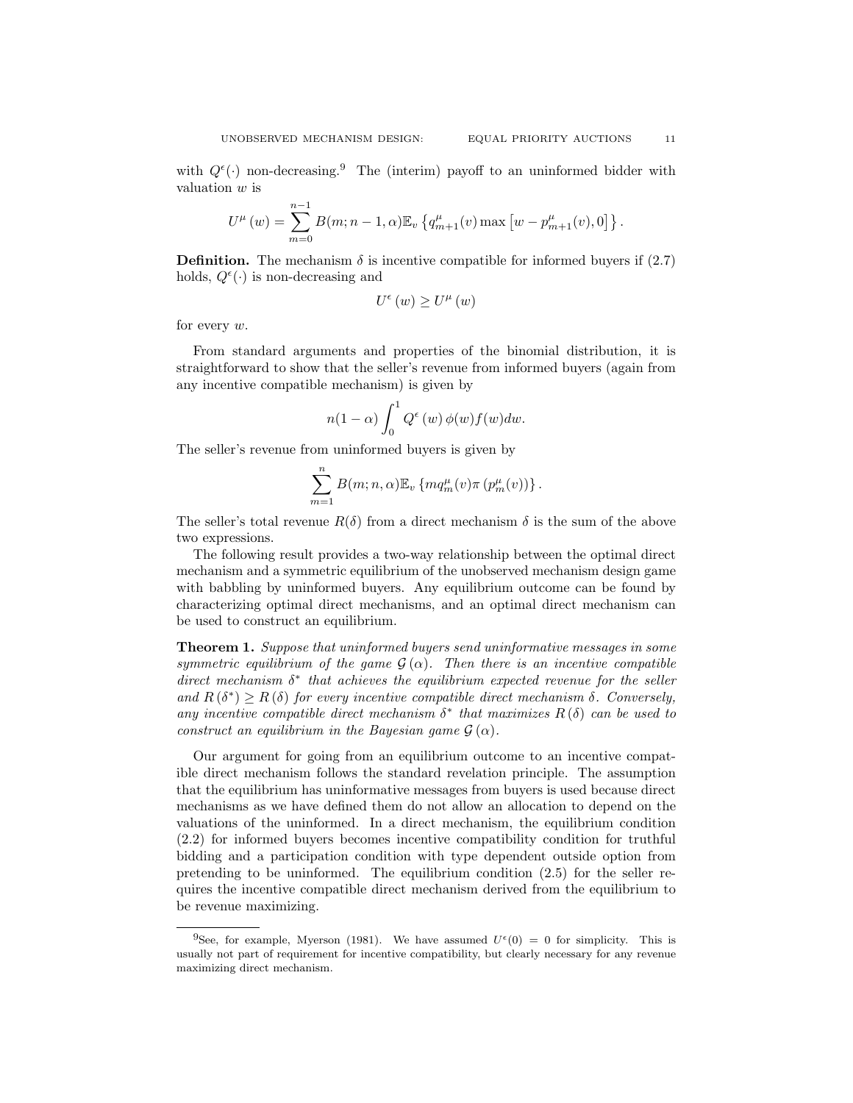with  $Q^{\epsilon}(\cdot)$  non-decreasing.<sup>9</sup> The (interim) payoff to an uninformed bidder with valuation w is

$$
U^{\mu}(w) = \sum_{m=0}^{n-1} B(m; n-1, \alpha) \mathbb{E}_{v} \left\{ q_{m+1}^{\mu}(v) \max \left[ w - p_{m+1}^{\mu}(v), 0 \right] \right\}.
$$

**Definition.** The mechanism  $\delta$  is incentive compatible for informed buyers if (2.7) holds,  $Q^{\epsilon}(\cdot)$  is non-decreasing and

$$
U^{\epsilon}\left(w\right)\geq U^{\mu}\left(w\right)
$$

for every w.

From standard arguments and properties of the binomial distribution, it is straightforward to show that the seller's revenue from informed buyers (again from any incentive compatible mechanism) is given by

$$
n(1-\alpha)\int_0^1 Q^\epsilon(w)\,\phi(w)f(w)dw.
$$

The seller's revenue from uninformed buyers is given by

$$
\sum_{m=1}^n B(m; n, \alpha) \mathbb{E}_v \left\{ m q_m^{\mu}(v) \pi (p_m^{\mu}(v)) \right\}.
$$

The seller's total revenue  $R(\delta)$  from a direct mechanism  $\delta$  is the sum of the above two expressions.

The following result provides a two-way relationship between the optimal direct mechanism and a symmetric equilibrium of the unobserved mechanism design game with babbling by uninformed buyers. Any equilibrium outcome can be found by characterizing optimal direct mechanisms, and an optimal direct mechanism can be used to construct an equilibrium.

Theorem 1. Suppose that uninformed buyers send uninformative messages in some symmetric equilibrium of the game  $\mathcal{G}(\alpha)$ . Then there is an incentive compatible direct mechanism  $\delta^*$  that achieves the equilibrium expected revenue for the seller and  $R(\delta^*) \geq R(\delta)$  for every incentive compatible direct mechanism  $\delta$ . Conversely, any incentive compatible direct mechanism  $\delta^*$  that maximizes  $R(\delta)$  can be used to construct an equilibrium in the Bayesian game  $\mathcal{G}(\alpha)$ .

Our argument for going from an equilibrium outcome to an incentive compatible direct mechanism follows the standard revelation principle. The assumption that the equilibrium has uninformative messages from buyers is used because direct mechanisms as we have defined them do not allow an allocation to depend on the valuations of the uninformed. In a direct mechanism, the equilibrium condition (2.2) for informed buyers becomes incentive compatibility condition for truthful bidding and a participation condition with type dependent outside option from pretending to be uninformed. The equilibrium condition (2.5) for the seller requires the incentive compatible direct mechanism derived from the equilibrium to be revenue maximizing.

<sup>&</sup>lt;sup>9</sup>See, for example, Myerson (1981). We have assumed  $U^{\epsilon}(0) = 0$  for simplicity. This is usually not part of requirement for incentive compatibility, but clearly necessary for any revenue maximizing direct mechanism.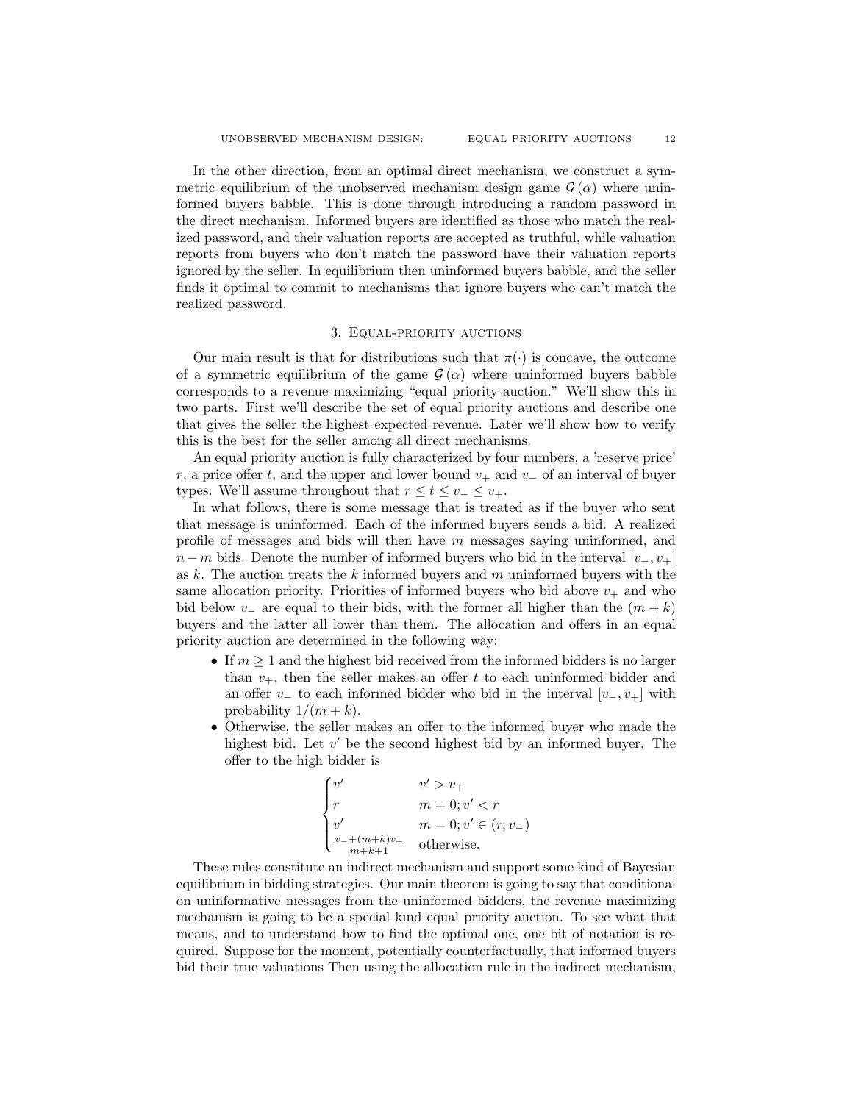In the other direction, from an optimal direct mechanism, we construct a symmetric equilibrium of the unobserved mechanism design game  $\mathcal{G}(\alpha)$  where uninformed buyers babble. This is done through introducing a random password in the direct mechanism. Informed buyers are identified as those who match the realized password, and their valuation reports are accepted as truthful, while valuation reports from buyers who don't match the password have their valuation reports ignored by the seller. In equilibrium then uninformed buyers babble, and the seller finds it optimal to commit to mechanisms that ignore buyers who can't match the realized password.

#### 3. Equal-priority auctions

Our main result is that for distributions such that  $\pi(\cdot)$  is concave, the outcome of a symmetric equilibrium of the game  $\mathcal{G}(\alpha)$  where uninformed buyers babble corresponds to a revenue maximizing "equal priority auction." We'll show this in two parts. First we'll describe the set of equal priority auctions and describe one that gives the seller the highest expected revenue. Later we'll show how to verify this is the best for the seller among all direct mechanisms.

An equal priority auction is fully characterized by four numbers, a 'reserve price' r, a price offer t, and the upper and lower bound  $v_+$  and  $v_-$  of an interval of buyer types. We'll assume throughout that  $r \le t \le v_-\le v_+$ .

In what follows, there is some message that is treated as if the buyer who sent that message is uninformed. Each of the informed buyers sends a bid. A realized profile of messages and bids will then have  $m$  messages saying uninformed, and  $n-m$  bids. Denote the number of informed buyers who bid in the interval  $[v_-, v_+]$ as  $k$ . The auction treats the  $k$  informed buyers and  $m$  uninformed buyers with the same allocation priority. Priorities of informed buyers who bid above  $v_+$  and who bid below v<sub>-</sub> are equal to their bids, with the former all higher than the  $(m + k)$ buyers and the latter all lower than them. The allocation and offers in an equal priority auction are determined in the following way:

- If  $m \geq 1$  and the highest bid received from the informed bidders is no larger than  $v_{+}$ , then the seller makes an offer t to each uninformed bidder and an offer v<sub>−</sub> to each informed bidder who bid in the interval  $[v_-, v_+]$  with probability  $1/(m+k)$ .
- Otherwise, the seller makes an offer to the informed buyer who made the highest bid. Let  $v'$  be the second highest bid by an informed buyer. The offer to the high bidder is

$$
\begin{cases} v' & v' > v_+ \\ r & m=0; v' < r \\ v' & m=0; v' \in (r,v_-) \\ \frac{v_- + (m+k)v_+}{m+k+1} & \text{otherwise.} \end{cases}
$$

These rules constitute an indirect mechanism and support some kind of Bayesian equilibrium in bidding strategies. Our main theorem is going to say that conditional on uninformative messages from the uninformed bidders, the revenue maximizing mechanism is going to be a special kind equal priority auction. To see what that means, and to understand how to find the optimal one, one bit of notation is required. Suppose for the moment, potentially counterfactually, that informed buyers bid their true valuations Then using the allocation rule in the indirect mechanism,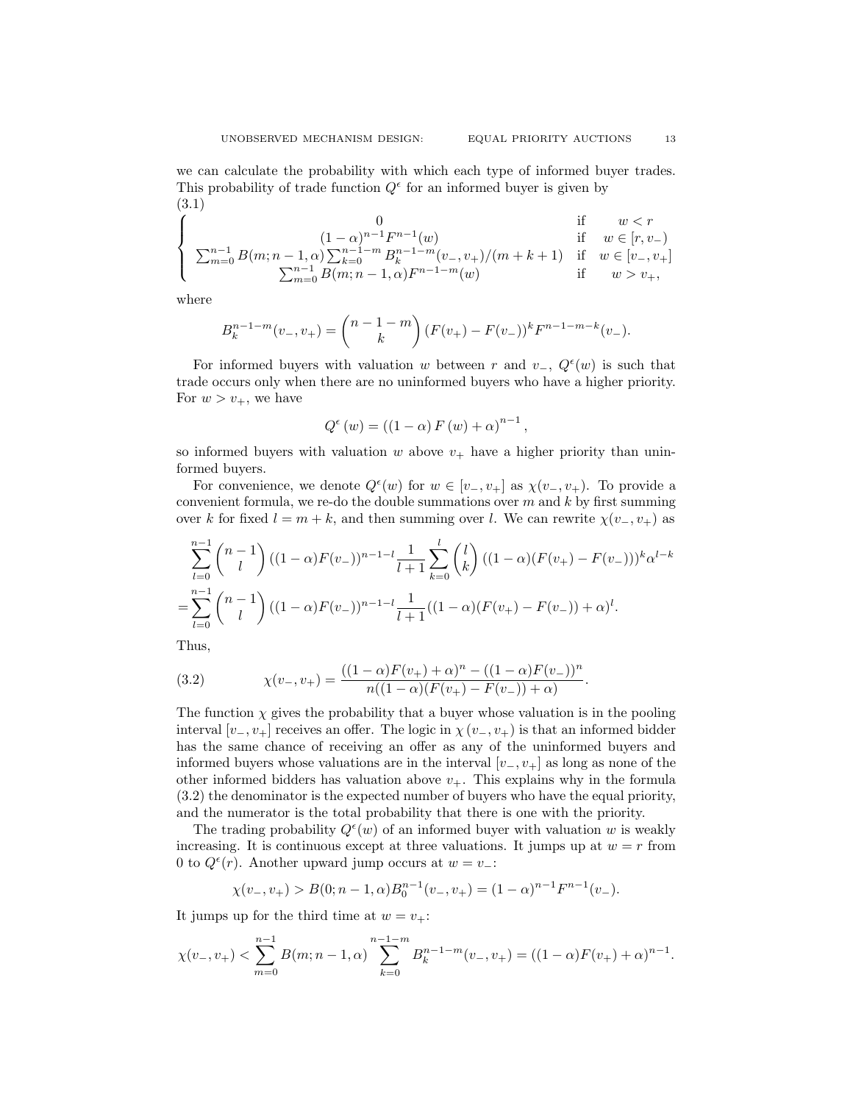$$
\begin{cases}\n0 & \text{if } w < r \\
\sum_{m=0}^{n-1} B(m; n-1, \alpha) \sum_{k=0}^{n-1-m} B_k^{n-1-m}(v_-, v_+)/(m+k+1) & \text{if } w \in [r, v_-) \\
\sum_{m=0}^{n-1} B(m; n-1, \alpha) F^{n-1-m}(v_-, v_+)/(m+k+1) & \text{if } w \in [v_-, v_+] \\
\sum_{m=0}^{n-1} B(m; n-1, \alpha) F^{n-1-m}(w) & \text{if } w > v_+,\n\end{cases}
$$

where

$$
B_k^{n-1-m}(v_-,v_+) = \binom{n-1-m}{k} (F(v_+) - F(v_-))^k F^{n-1-m-k}(v_-).
$$

For informed buyers with valuation w between r and  $v_-, Q^{\epsilon}(w)$  is such that trade occurs only when there are no uninformed buyers who have a higher priority. For  $w > v_+$ , we have

$$
Q^{\epsilon}(w) = ((1 - \alpha) F(w) + \alpha)^{n-1},
$$

so informed buyers with valuation w above  $v_+$  have a higher priority than uninformed buyers.

For convenience, we denote  $Q^{\epsilon}(w)$  for  $w \in [v_-, v_+]$  as  $\chi(v_-, v_+)$ . To provide a convenient formula, we re-do the double summations over  $m$  and  $k$  by first summing over k for fixed  $l = m + k$ , and then summing over l. We can rewrite  $\chi(v_-, v_+)$  as

$$
\sum_{l=0}^{n-1} {n-1 \choose l} ((1-\alpha)F(v_-))^{n-1-l} \frac{1}{l+1} \sum_{k=0}^{l} {l \choose k} ((1-\alpha)(F(v_+)-F(v_-)))^k \alpha^{l-k}
$$
  
= 
$$
\sum_{l=0}^{n-1} {n-1 \choose l} ((1-\alpha)F(v_-))^{n-1-l} \frac{1}{l+1} ((1-\alpha)(F(v_+)-F(v_-))+\alpha)^l.
$$

Thus,

(3.2) 
$$
\chi(v_-, v_+) = \frac{((1-\alpha)F(v_+) + \alpha)^n - ((1-\alpha)F(v_-))^n}{n((1-\alpha)(F(v_+) - F(v_-)) + \alpha)}.
$$

The function  $\chi$  gives the probability that a buyer whose valuation is in the pooling interval  $[v_-, v_+]$  receives an offer. The logic in  $\chi(v_-, v_+)$  is that an informed bidder has the same chance of receiving an offer as any of the uninformed buyers and informed buyers whose valuations are in the interval  $|v_-, v_+|$  as long as none of the other informed bidders has valuation above  $v_{+}$ . This explains why in the formula (3.2) the denominator is the expected number of buyers who have the equal priority, and the numerator is the total probability that there is one with the priority.

The trading probability  $Q^{\epsilon}(w)$  of an informed buyer with valuation w is weakly increasing. It is continuous except at three valuations. It jumps up at  $w = r$  from 0 to  $Q^{\epsilon}(r)$ . Another upward jump occurs at  $w = v_{-}$ :

$$
\chi(v_-, v_+) > B(0; n-1, \alpha)B_0^{n-1}(v_-, v_+) = (1-\alpha)^{n-1}F^{n-1}(v_-).
$$

It jumps up for the third time at  $w = v_{+}$ :

$$
\chi(v_-, v_+) < \sum_{m=0}^{n-1} B(m; n-1, \alpha) \sum_{k=0}^{n-1-m} B_k^{n-1-m}(v_-, v_+) = ((1-\alpha)F(v_+) + \alpha)^{n-1}.
$$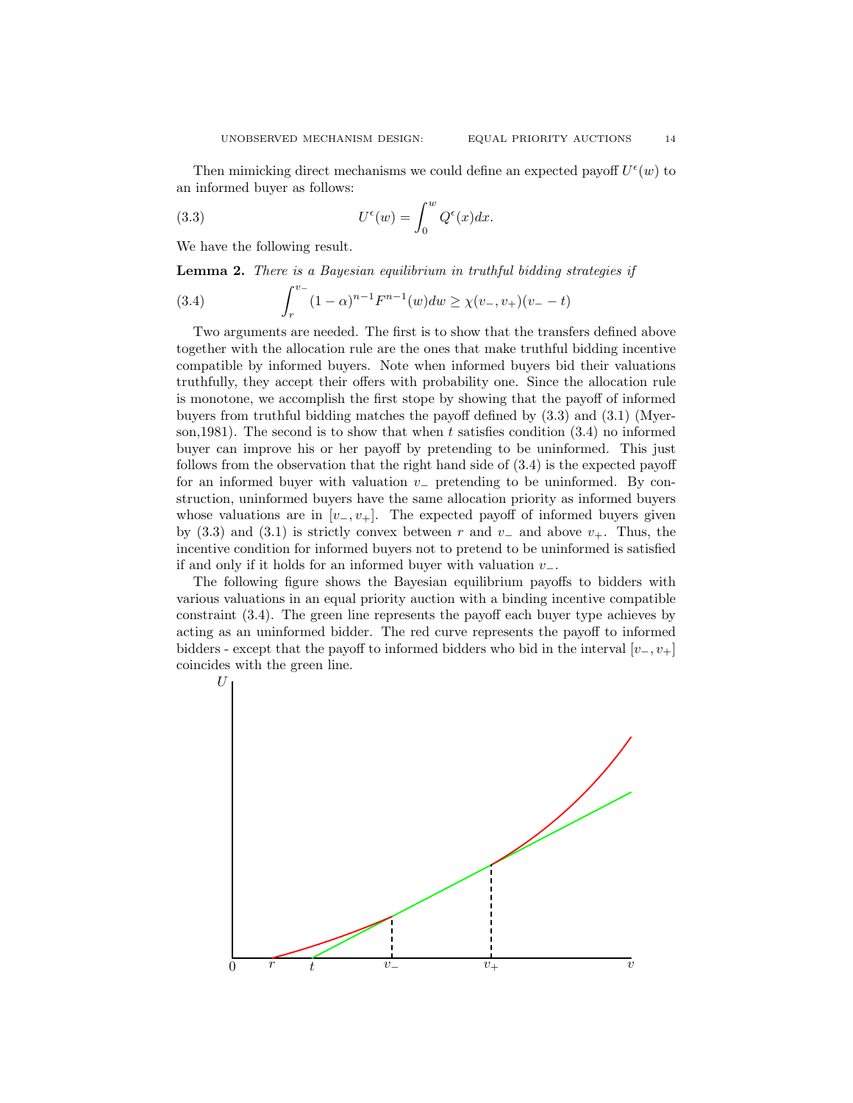Then mimicking direct mechanisms we could define an expected payoff  $U^{\epsilon}(w)$  to an informed buyer as follows:

(3.3) 
$$
U^{\epsilon}(w) = \int_0^w Q^{\epsilon}(x) dx.
$$

We have the following result.

Lemma 2. There is a Bayesian equilibrium in truthful bidding strategies if

(3.4) 
$$
\int_{r}^{v_{-}} (1 - \alpha)^{n-1} F^{n-1}(w) dw \ge \chi(v_{-}, v_{+})(v_{-} - t)
$$

Two arguments are needed. The first is to show that the transfers defined above together with the allocation rule are the ones that make truthful bidding incentive compatible by informed buyers. Note when informed buyers bid their valuations truthfully, they accept their offers with probability one. Since the allocation rule is monotone, we accomplish the first stope by showing that the payoff of informed buyers from truthful bidding matches the payoff defined by (3.3) and (3.1) (Myerson, 1981). The second is to show that when t satisfies condition  $(3.4)$  no informed buyer can improve his or her payoff by pretending to be uninformed. This just follows from the observation that the right hand side of (3.4) is the expected payoff for an informed buyer with valuation v<sup>−</sup> pretending to be uninformed. By construction, uninformed buyers have the same allocation priority as informed buyers whose valuations are in  $[v_-, v_+]$ . The expected payoff of informed buyers given by (3.3) and (3.1) is strictly convex between r and  $v_-\,$  and above  $v_+\,$ . Thus, the incentive condition for informed buyers not to pretend to be uninformed is satisfied if and only if it holds for an informed buyer with valuation  $v_-\$ .

The following figure shows the Bayesian equilibrium payoffs to bidders with various valuations in an equal priority auction with a binding incentive compatible constraint (3.4). The green line represents the payoff each buyer type achieves by acting as an uninformed bidder. The red curve represents the payoff to informed bidders - except that the payoff to informed bidders who bid in the interval  $[v_-, v_+]$ coincides with the green line.

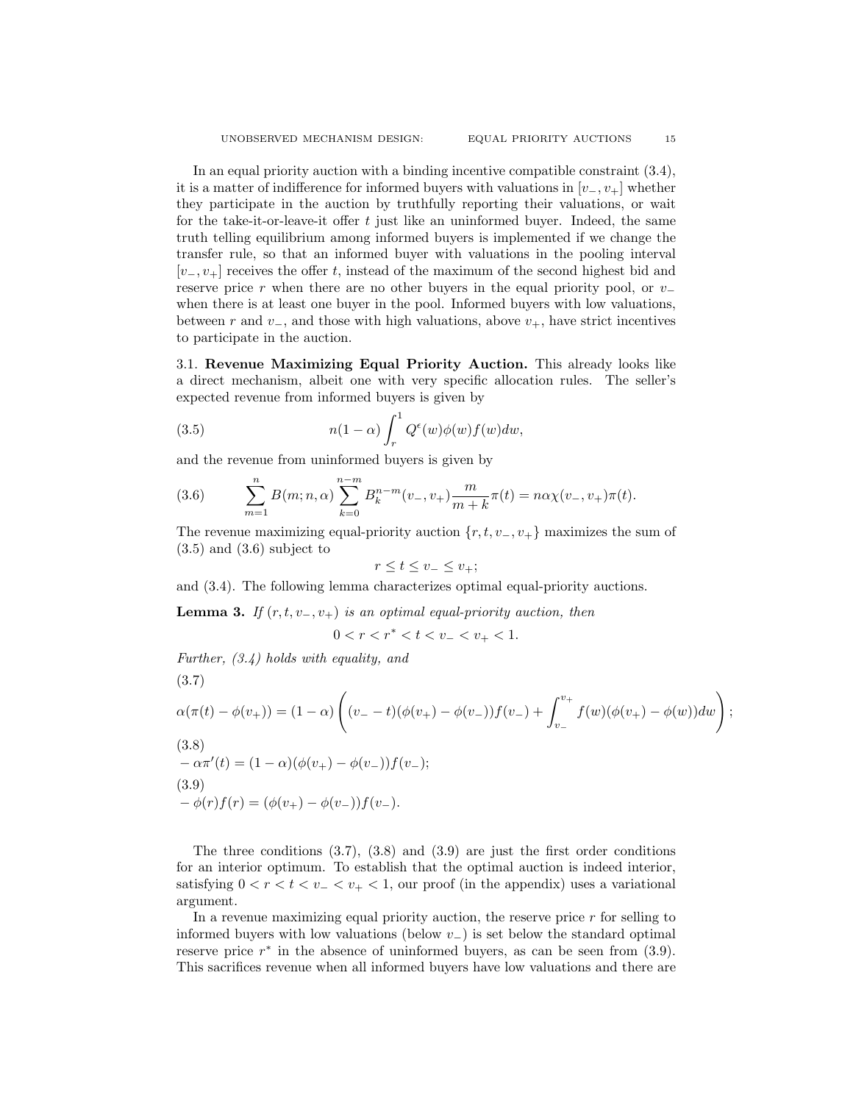In an equal priority auction with a binding incentive compatible constraint (3.4), it is a matter of indifference for informed buyers with valuations in  $[v_-, v_+]$  whether they participate in the auction by truthfully reporting their valuations, or wait for the take-it-or-leave-it offer  $t$  just like an uninformed buyer. Indeed, the same truth telling equilibrium among informed buyers is implemented if we change the transfer rule, so that an informed buyer with valuations in the pooling interval  $[v_-, v_+]$  receives the offer t, instead of the maximum of the second highest bid and reserve price r when there are no other buyers in the equal priority pool, or  $v_$ when there is at least one buyer in the pool. Informed buyers with low valuations, between r and  $v_$ , and those with high valuations, above  $v_+$ , have strict incentives to participate in the auction.

3.1. Revenue Maximizing Equal Priority Auction. This already looks like a direct mechanism, albeit one with very specific allocation rules. The seller's expected revenue from informed buyers is given by

(3.5) 
$$
n(1-\alpha)\int_r^1 Q^\epsilon(w)\phi(w)f(w)dw,
$$

and the revenue from uninformed buyers is given by

(3.6) 
$$
\sum_{m=1}^{n} B(m; n, \alpha) \sum_{k=0}^{n-m} B_k^{n-m}(v_-, v_+) \frac{m}{m+k} \pi(t) = n \alpha \chi(v_-, v_+) \pi(t).
$$

The revenue maximizing equal-priority auction  $\{r, t, v_-, v_+\}$  maximizes the sum of  $(3.5)$  and  $(3.6)$  subject to

$$
r \le t \le v_- \le v_+;
$$

and (3.4). The following lemma characterizes optimal equal-priority auctions.

**Lemma 3.** If  $(r, t, v_-, v_+)$  is an optimal equal-priority auction, then

$$
0 < r < r^* < t < v_- < v_+ < 1.
$$

Further, (3.4) holds with equality, and

(3.7)  
\n
$$
\alpha(\pi(t) - \phi(v_+)) = (1 - \alpha) \left( (v_- - t)(\phi(v_+) - \phi(v_-))f(v_-) + \int_{v_-}^{v_+} f(w)(\phi(v_+) - \phi(w))dw \right);
$$
\n(3.8)  
\n
$$
-\alpha\pi'(t) = (1 - \alpha)(\phi(v_+) - \phi(v_-))f(v_-);
$$
\n(3.9)  
\n
$$
-\phi(r)f(r) = (\phi(v_+) - \phi(v_-))f(v_-).
$$

The three conditions  $(3.7)$ ,  $(3.8)$  and  $(3.9)$  are just the first order conditions for an interior optimum. To establish that the optimal auction is indeed interior, satisfying  $0 < r < t < v_{-} < v_{+} < 1$ , our proof (in the appendix) uses a variational argument.

In a revenue maximizing equal priority auction, the reserve price  $r$  for selling to informed buyers with low valuations (below  $v_$ ) is set below the standard optimal reserve price  $r^*$  in the absence of uninformed buyers, as can be seen from (3.9). This sacrifices revenue when all informed buyers have low valuations and there are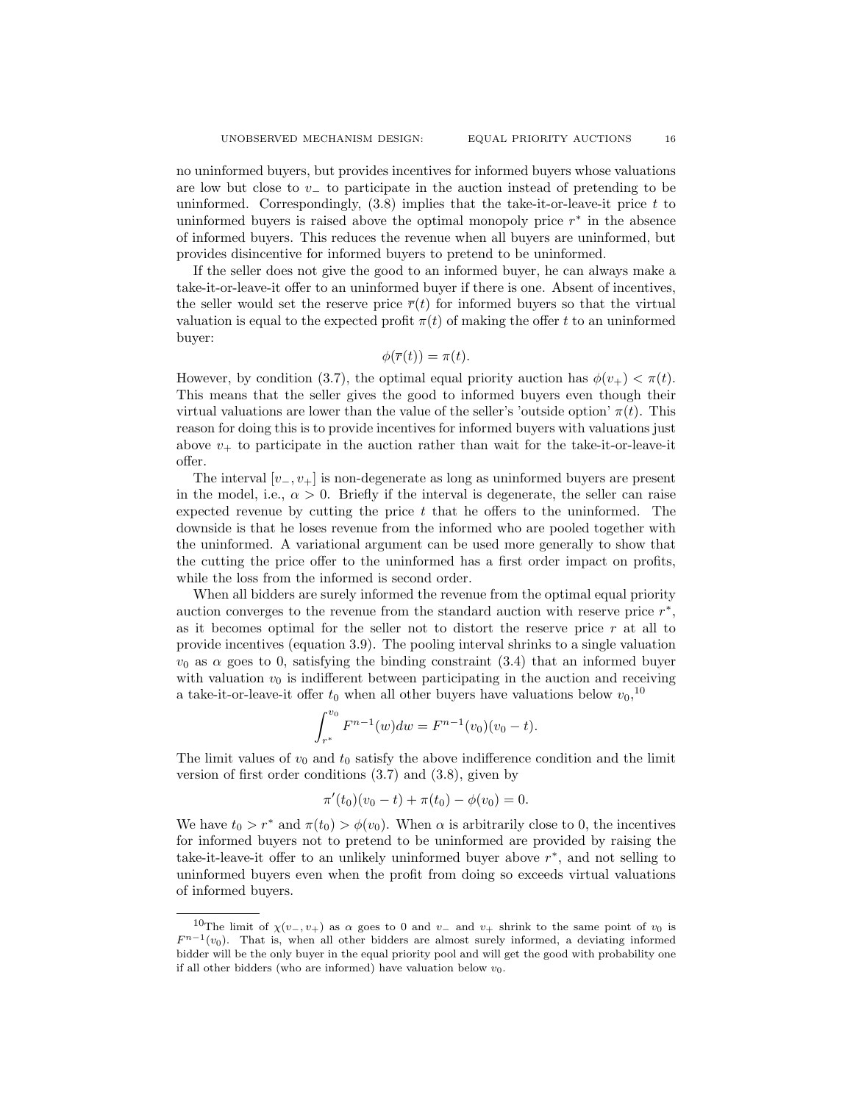no uninformed buyers, but provides incentives for informed buyers whose valuations are low but close to v− to participate in the auction instead of pretending to be uninformed. Correspondingly,  $(3.8)$  implies that the take-it-or-leave-it price t to uninformed buyers is raised above the optimal monopoly price  $r^*$  in the absence of informed buyers. This reduces the revenue when all buyers are uninformed, but provides disincentive for informed buyers to pretend to be uninformed.

If the seller does not give the good to an informed buyer, he can always make a take-it-or-leave-it offer to an uninformed buyer if there is one. Absent of incentives, the seller would set the reserve price  $\bar{r}(t)$  for informed buyers so that the virtual valuation is equal to the expected profit  $\pi(t)$  of making the offer t to an uninformed buyer:

$$
\phi(\overline{r}(t)) = \pi(t).
$$

However, by condition (3.7), the optimal equal priority auction has  $\phi(v_+) < \pi(t)$ . This means that the seller gives the good to informed buyers even though their virtual valuations are lower than the value of the seller's 'outside option'  $\pi(t)$ . This reason for doing this is to provide incentives for informed buyers with valuations just above  $v_{+}$  to participate in the auction rather than wait for the take-it-or-leave-it offer.

The interval  $[v_-, v_+]$  is non-degenerate as long as uninformed buyers are present in the model, i.e.,  $\alpha > 0$ . Briefly if the interval is degenerate, the seller can raise expected revenue by cutting the price  $t$  that he offers to the uninformed. The downside is that he loses revenue from the informed who are pooled together with the uninformed. A variational argument can be used more generally to show that the cutting the price offer to the uninformed has a first order impact on profits, while the loss from the informed is second order.

When all bidders are surely informed the revenue from the optimal equal priority auction converges to the revenue from the standard auction with reserve price  $r^*$ , as it becomes optimal for the seller not to distort the reserve price  $r$  at all to provide incentives (equation 3.9). The pooling interval shrinks to a single valuation  $v_0$  as  $\alpha$  goes to 0, satisfying the binding constraint (3.4) that an informed buyer with valuation  $v_0$  is indifferent between participating in the auction and receiving a take-it-or-leave-it offer  $t_0$  when all other buyers have valuations below  $v_0$ ,<sup>10</sup>

$$
\int_{r^*}^{v_0} F^{n-1}(w) dw = F^{n-1}(v_0)(v_0 - t).
$$

The limit values of  $v_0$  and  $t_0$  satisfy the above indifference condition and the limit version of first order conditions (3.7) and (3.8), given by

$$
\pi'(t_0)(v_0 - t) + \pi(t_0) - \phi(v_0) = 0.
$$

We have  $t_0 > r^*$  and  $\pi(t_0) > \phi(v_0)$ . When  $\alpha$  is arbitrarily close to 0, the incentives for informed buyers not to pretend to be uninformed are provided by raising the take-it-leave-it offer to an unlikely uninformed buyer above r ∗ , and not selling to uninformed buyers even when the profit from doing so exceeds virtual valuations of informed buyers.

<sup>&</sup>lt;sup>10</sup>The limit of  $\chi(v_-, v_+)$  as  $\alpha$  goes to 0 and  $v_-$  and  $v_+$  shrink to the same point of  $v_0$  is  $F^{n-1}(v_0)$ . That is, when all other bidders are almost surely informed, a deviating informed bidder will be the only buyer in the equal priority pool and will get the good with probability one if all other bidders (who are informed) have valuation below  $v_0$ .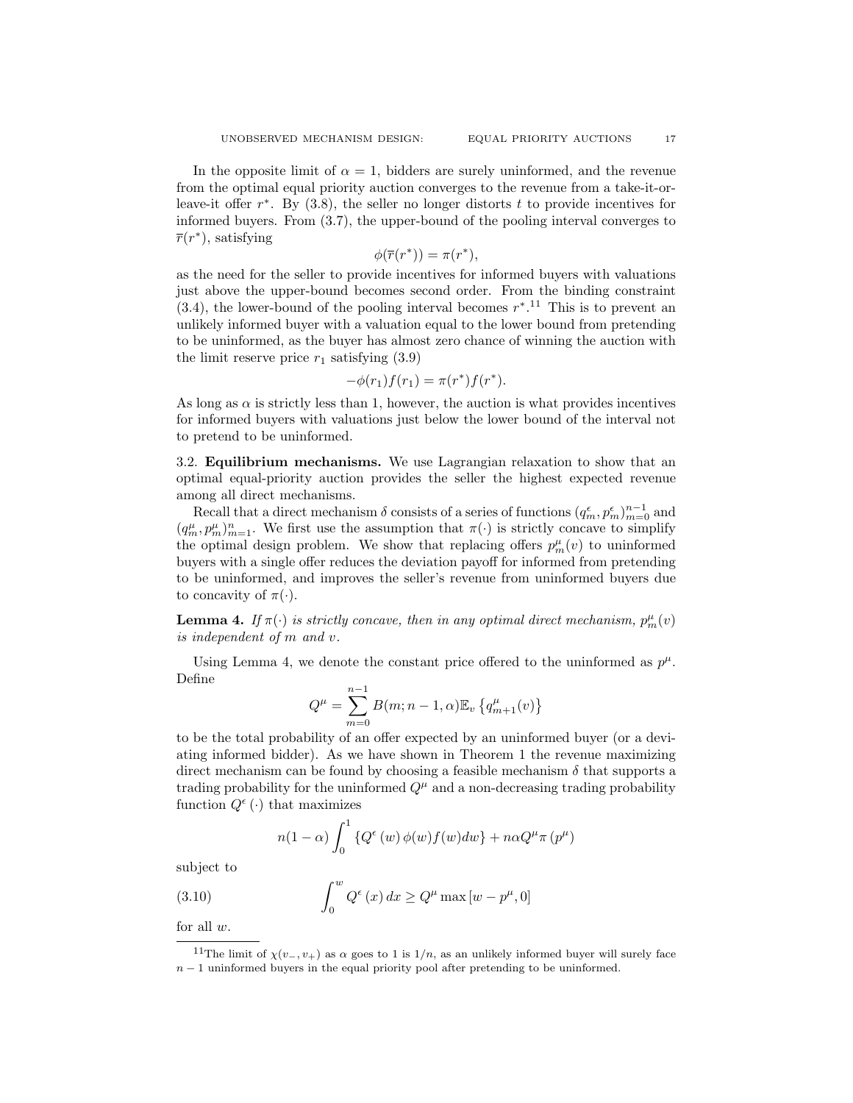In the opposite limit of  $\alpha = 1$ , bidders are surely uninformed, and the revenue from the optimal equal priority auction converges to the revenue from a take-it-orleave-it offer  $r^*$ . By (3.8), the seller no longer distorts t to provide incentives for informed buyers. From (3.7), the upper-bound of the pooling interval converges to  $\overline{r}(r^*)$ , satisfying

$$
\phi(\overline{r}(r^*)) = \pi(r^*),
$$

as the need for the seller to provide incentives for informed buyers with valuations just above the upper-bound becomes second order. From the binding constraint  $(3.4)$ , the lower-bound of the pooling interval becomes  $r^*$ .<sup>11</sup> This is to prevent an unlikely informed buyer with a valuation equal to the lower bound from pretending to be uninformed, as the buyer has almost zero chance of winning the auction with the limit reserve price  $r_1$  satisfying  $(3.9)$ 

$$
-\phi(r_1)f(r_1) = \pi(r^*)f(r^*).
$$

As long as  $\alpha$  is strictly less than 1, however, the auction is what provides incentives for informed buyers with valuations just below the lower bound of the interval not to pretend to be uninformed.

3.2. Equilibrium mechanisms. We use Lagrangian relaxation to show that an optimal equal-priority auction provides the seller the highest expected revenue among all direct mechanisms.

Recall that a direct mechanism  $\delta$  consists of a series of functions  $(q_m^{\epsilon}, p_m^{\epsilon})_{m=0}^{n-1}$  and  $(q_m^{\mu}, p_m^{\mu})_{m=1}^n$ . We first use the assumption that  $\pi(\cdot)$  is strictly concave to simplify the optimal design problem. We show that replacing offers  $p_m^{\mu}(v)$  to uninformed buyers with a single offer reduces the deviation payoff for informed from pretending to be uninformed, and improves the seller's revenue from uninformed buyers due to concavity of  $\pi(\cdot)$ .

**Lemma 4.** If  $\pi(\cdot)$  is strictly concave, then in any optimal direct mechanism,  $p_m^{\mu}(v)$ is independent of m and v.

Using Lemma 4, we denote the constant price offered to the uninformed as  $p^{\mu}$ . Define

$$
Q^{\mu} = \sum_{m=0}^{n-1} B(m; n-1, \alpha) \mathbb{E}_{v} \left\{ q_{m+1}^{\mu}(v) \right\}
$$

to be the total probability of an offer expected by an uninformed buyer (or a deviating informed bidder). As we have shown in Theorem 1 the revenue maximizing direct mechanism can be found by choosing a feasible mechanism  $\delta$  that supports a trading probability for the uninformed  $Q^{\mu}$  and a non-decreasing trading probability function  $Q^{\epsilon}(\cdot)$  that maximizes

$$
n(1-\alpha)\int_0^1 \left\{Q^{\epsilon}(w)\phi(w)f(w)dw\right\} + n\alpha Q^{\mu}\pi(p^{\mu})
$$

subject to

(3.10) 
$$
\int_0^w Q^{\epsilon}(x) dx \ge Q^{\mu} \max [w - p^{\mu}, 0]
$$

for all  $w$ .

<sup>&</sup>lt;sup>11</sup>The limit of  $\chi(v_-, v_+)$  as  $\alpha$  goes to 1 is  $1/n$ , as an unlikely informed buyer will surely face  $n-1$  uninformed buyers in the equal priority pool after pretending to be uninformed.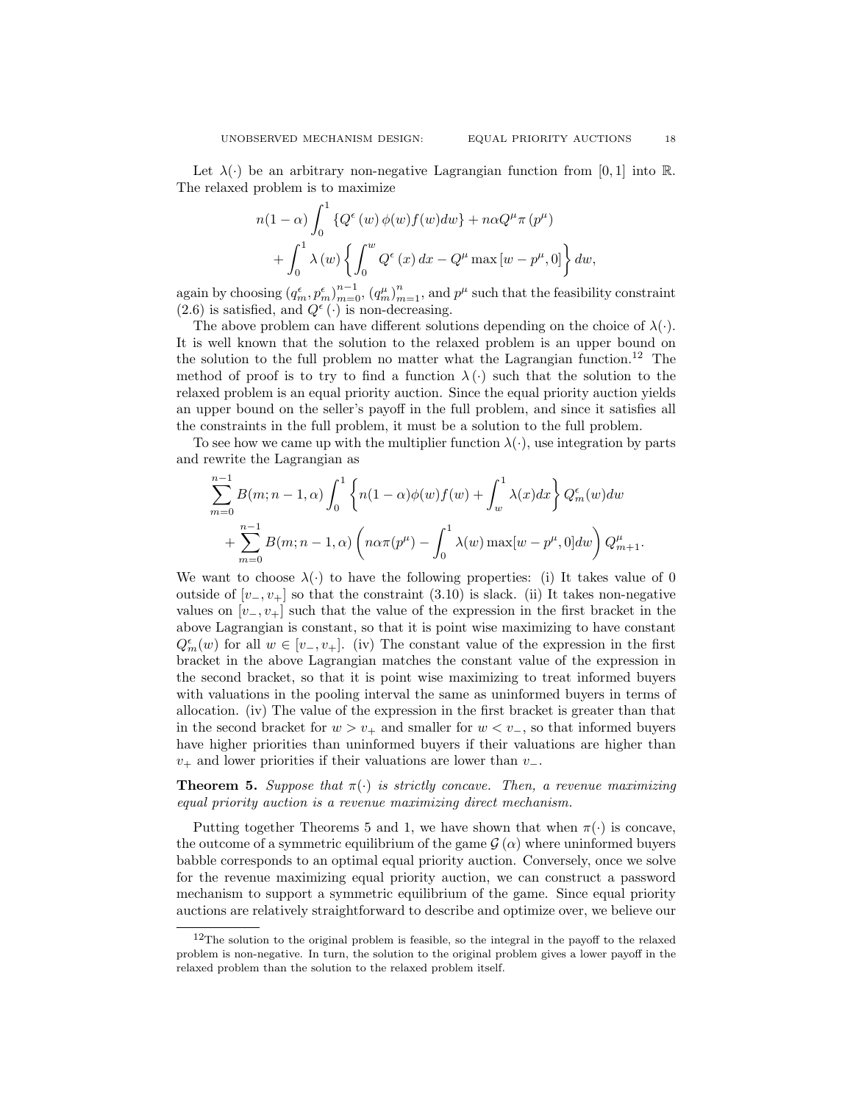Let  $\lambda(\cdot)$  be an arbitrary non-negative Lagrangian function from [0, 1] into R. The relaxed problem is to maximize

$$
n(1 - \alpha) \int_0^1 \left\{ Q^{\epsilon}(w) \phi(w) f(w) dw \right\} + n \alpha Q^{\mu} \pi (p^{\mu})
$$

$$
+ \int_0^1 \lambda(w) \left\{ \int_0^w Q^{\epsilon}(x) dx - Q^{\mu} \max [w - p^{\mu}, 0] \right\} dw,
$$

again by choosing  $(q_m^{\epsilon}, p_m^{\epsilon})_{m=0}^{n-1}$ ,  $(q_m^{\mu})_{m=1}^{n}$ , and  $p^{\mu}$  such that the feasibility constraint  $(2.6)$  is satisfied, and  $Q^{\epsilon}(\cdot)$  is non-decreasing.

The above problem can have different solutions depending on the choice of  $\lambda(\cdot)$ . It is well known that the solution to the relaxed problem is an upper bound on the solution to the full problem no matter what the Lagrangian function.<sup>12</sup> The method of proof is to try to find a function  $\lambda(\cdot)$  such that the solution to the relaxed problem is an equal priority auction. Since the equal priority auction yields an upper bound on the seller's payoff in the full problem, and since it satisfies all the constraints in the full problem, it must be a solution to the full problem.

To see how we came up with the multiplier function  $\lambda(\cdot)$ , use integration by parts and rewrite the Lagrangian as

$$
\sum_{m=0}^{n-1} B(m; n-1, \alpha) \int_0^1 \left\{ n(1-\alpha)\phi(w)f(w) + \int_w^1 \lambda(x)dx \right\} Q_m^{\epsilon}(w) dw
$$
  
+ 
$$
\sum_{m=0}^{n-1} B(m; n-1, \alpha) \left( n\alpha\pi(p^{\mu}) - \int_0^1 \lambda(w) \max[w-p^{\mu}, 0] dw \right) Q_{m+1}^{\mu}.
$$

We want to choose  $\lambda(\cdot)$  to have the following properties: (i) It takes value of 0 outside of  $[v_-, v_+]$  so that the constraint (3.10) is slack. (ii) It takes non-negative values on  $[v_-, v_+]$  such that the value of the expression in the first bracket in the above Lagrangian is constant, so that it is point wise maximizing to have constant  $Q_m^{\epsilon}(w)$  for all  $w \in [v_-, v_+]$ . (iv) The constant value of the expression in the first bracket in the above Lagrangian matches the constant value of the expression in the second bracket, so that it is point wise maximizing to treat informed buyers with valuations in the pooling interval the same as uninformed buyers in terms of allocation. (iv) The value of the expression in the first bracket is greater than that in the second bracket for  $w > v_+$  and smaller for  $w < v_-$ , so that informed buyers have higher priorities than uninformed buyers if their valuations are higher than  $v_{+}$  and lower priorities if their valuations are lower than  $v_{-}$ .

**Theorem 5.** Suppose that  $\pi(\cdot)$  is strictly concave. Then, a revenue maximizing equal priority auction is a revenue maximizing direct mechanism.

Putting together Theorems 5 and 1, we have shown that when  $\pi(\cdot)$  is concave, the outcome of a symmetric equilibrium of the game  $\mathcal{G}(\alpha)$  where uninformed buyers babble corresponds to an optimal equal priority auction. Conversely, once we solve for the revenue maximizing equal priority auction, we can construct a password mechanism to support a symmetric equilibrium of the game. Since equal priority auctions are relatively straightforward to describe and optimize over, we believe our

 $12$ The solution to the original problem is feasible, so the integral in the payoff to the relaxed problem is non-negative. In turn, the solution to the original problem gives a lower payoff in the relaxed problem than the solution to the relaxed problem itself.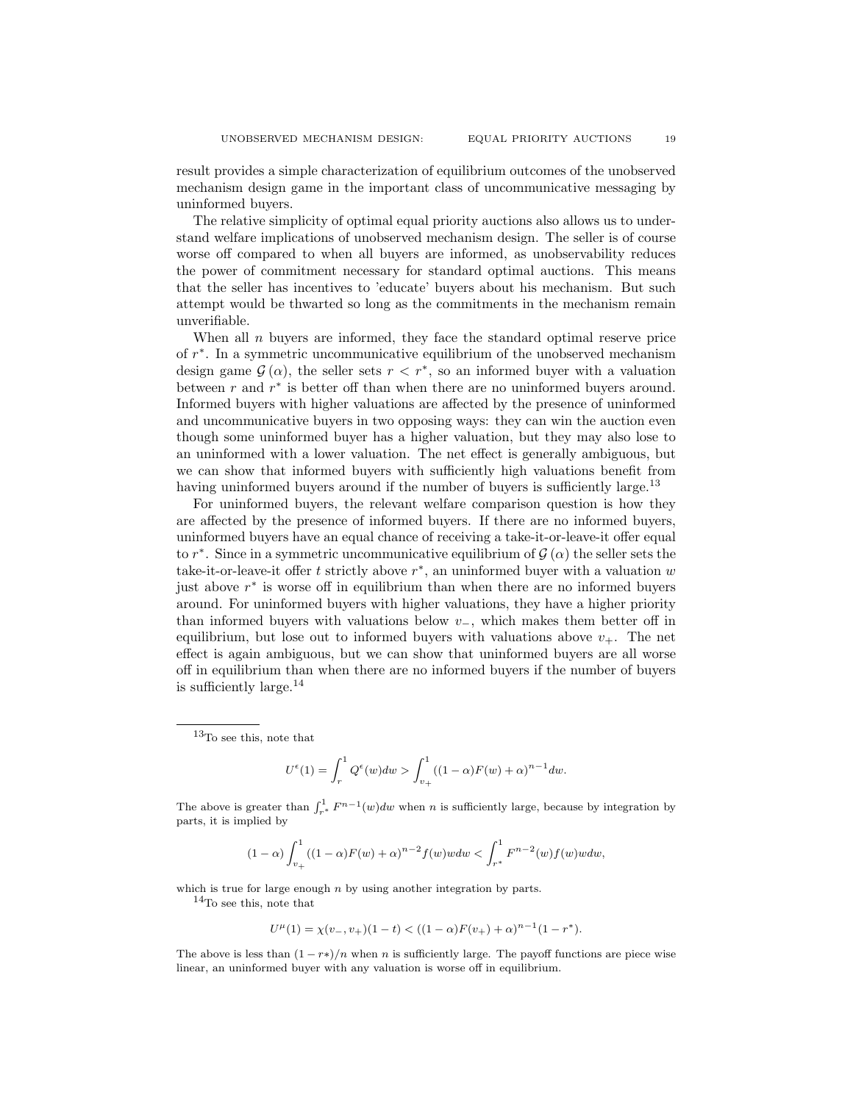result provides a simple characterization of equilibrium outcomes of the unobserved mechanism design game in the important class of uncommunicative messaging by uninformed buyers.

The relative simplicity of optimal equal priority auctions also allows us to understand welfare implications of unobserved mechanism design. The seller is of course worse off compared to when all buyers are informed, as unobservability reduces the power of commitment necessary for standard optimal auctions. This means that the seller has incentives to 'educate' buyers about his mechanism. But such attempt would be thwarted so long as the commitments in the mechanism remain unverifiable.

When all  $n$  buyers are informed, they face the standard optimal reserve price of r ∗ . In a symmetric uncommunicative equilibrium of the unobserved mechanism design game  $\mathcal{G}(\alpha)$ , the seller sets  $r < r^*$ , so an informed buyer with a valuation between  $r$  and  $r^*$  is better off than when there are no uninformed buyers around. Informed buyers with higher valuations are affected by the presence of uninformed and uncommunicative buyers in two opposing ways: they can win the auction even though some uninformed buyer has a higher valuation, but they may also lose to an uninformed with a lower valuation. The net effect is generally ambiguous, but we can show that informed buyers with sufficiently high valuations benefit from having uninformed buyers around if the number of buyers is sufficiently large.<sup>13</sup>

For uninformed buyers, the relevant welfare comparison question is how they are affected by the presence of informed buyers. If there are no informed buyers, uninformed buyers have an equal chance of receiving a take-it-or-leave-it offer equal to  $r^*$ . Since in a symmetric uncommunicative equilibrium of  $\mathcal{G}(\alpha)$  the seller sets the take-it-or-leave-it offer t strictly above  $r^*$ , an uninformed buyer with a valuation w just above  $r^*$  is worse off in equilibrium than when there are no informed buyers around. For uninformed buyers with higher valuations, they have a higher priority than informed buyers with valuations below  $v_-,$  which makes them better off in equilibrium, but lose out to informed buyers with valuations above  $v_{+}$ . The net effect is again ambiguous, but we can show that uninformed buyers are all worse off in equilibrium than when there are no informed buyers if the number of buyers is sufficiently large. $^{14}$ 

$$
U^{\epsilon}(1) = \int_r^1 Q^{\epsilon}(w)dw > \int_{v_+}^1 ((1-\alpha)F(w) + \alpha)^{n-1}dw.
$$

The above is greater than  $\int_{r^*}^1 F^{n-1}(w)dw$  when n is sufficiently large, because by integration by parts, it is implied by

$$
(1-\alpha)\int_{v_+}^1 ((1-\alpha)F(w)+\alpha)^{n-2}f(w)wdw < \int_{r^*}^1 F^{n-2}(w)f(w)wdw,
$$

which is true for large enough  $n$  by using another integration by parts.

 $\rm ^{14}To$  see this, note that

$$
U^{\mu}(1) = \chi(v_-, v_+)(1-t) < ((1-\alpha)F(v_+) + \alpha)^{n-1}(1-r^*).
$$

The above is less than  $(1 - r*)/n$  when n is sufficiently large. The payoff functions are piece wise linear, an uninformed buyer with any valuation is worse off in equilibrium.

<sup>13</sup>To see this, note that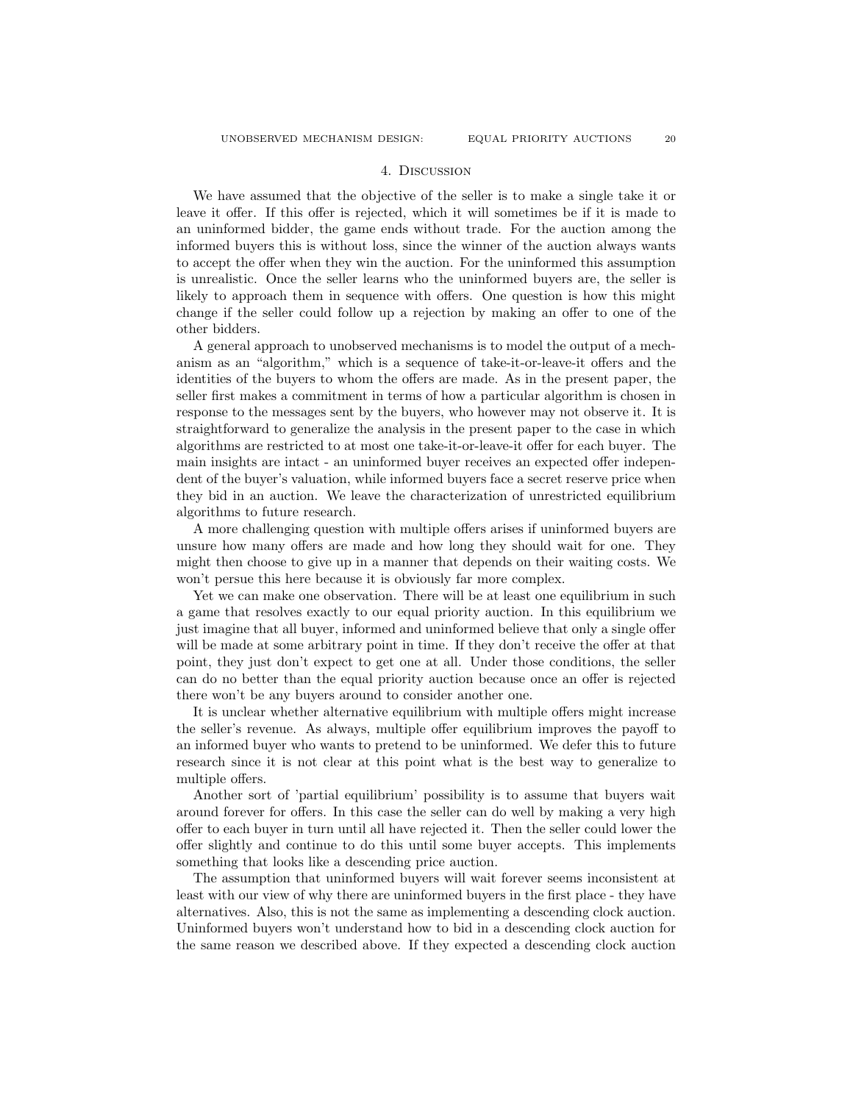# 4. Discussion

We have assumed that the objective of the seller is to make a single take it or leave it offer. If this offer is rejected, which it will sometimes be if it is made to an uninformed bidder, the game ends without trade. For the auction among the informed buyers this is without loss, since the winner of the auction always wants to accept the offer when they win the auction. For the uninformed this assumption is unrealistic. Once the seller learns who the uninformed buyers are, the seller is likely to approach them in sequence with offers. One question is how this might change if the seller could follow up a rejection by making an offer to one of the other bidders.

A general approach to unobserved mechanisms is to model the output of a mechanism as an "algorithm," which is a sequence of take-it-or-leave-it offers and the identities of the buyers to whom the offers are made. As in the present paper, the seller first makes a commitment in terms of how a particular algorithm is chosen in response to the messages sent by the buyers, who however may not observe it. It is straightforward to generalize the analysis in the present paper to the case in which algorithms are restricted to at most one take-it-or-leave-it offer for each buyer. The main insights are intact - an uninformed buyer receives an expected offer independent of the buyer's valuation, while informed buyers face a secret reserve price when they bid in an auction. We leave the characterization of unrestricted equilibrium algorithms to future research.

A more challenging question with multiple offers arises if uninformed buyers are unsure how many offers are made and how long they should wait for one. They might then choose to give up in a manner that depends on their waiting costs. We won't persue this here because it is obviously far more complex.

Yet we can make one observation. There will be at least one equilibrium in such a game that resolves exactly to our equal priority auction. In this equilibrium we just imagine that all buyer, informed and uninformed believe that only a single offer will be made at some arbitrary point in time. If they don't receive the offer at that point, they just don't expect to get one at all. Under those conditions, the seller can do no better than the equal priority auction because once an offer is rejected there won't be any buyers around to consider another one.

It is unclear whether alternative equilibrium with multiple offers might increase the seller's revenue. As always, multiple offer equilibrium improves the payoff to an informed buyer who wants to pretend to be uninformed. We defer this to future research since it is not clear at this point what is the best way to generalize to multiple offers.

Another sort of 'partial equilibrium' possibility is to assume that buyers wait around forever for offers. In this case the seller can do well by making a very high offer to each buyer in turn until all have rejected it. Then the seller could lower the offer slightly and continue to do this until some buyer accepts. This implements something that looks like a descending price auction.

The assumption that uninformed buyers will wait forever seems inconsistent at least with our view of why there are uninformed buyers in the first place - they have alternatives. Also, this is not the same as implementing a descending clock auction. Uninformed buyers won't understand how to bid in a descending clock auction for the same reason we described above. If they expected a descending clock auction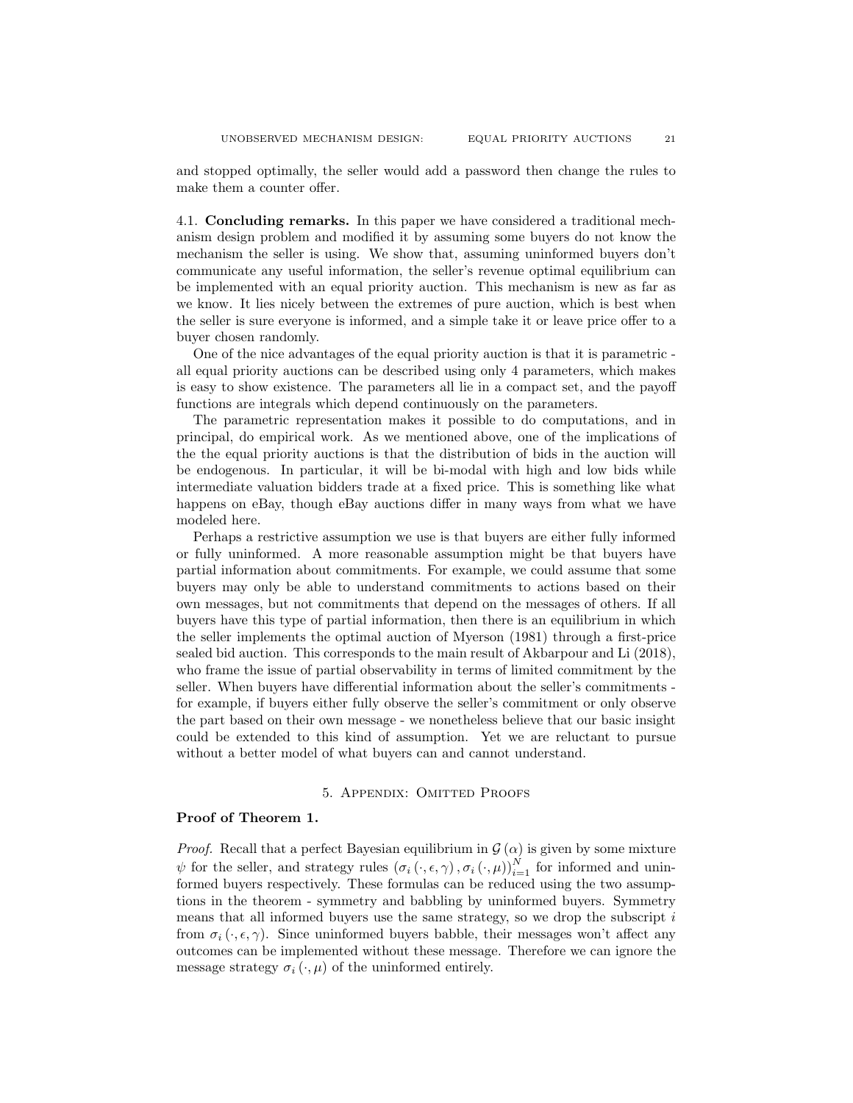and stopped optimally, the seller would add a password then change the rules to make them a counter offer.

4.1. Concluding remarks. In this paper we have considered a traditional mechanism design problem and modified it by assuming some buyers do not know the mechanism the seller is using. We show that, assuming uninformed buyers don't communicate any useful information, the seller's revenue optimal equilibrium can be implemented with an equal priority auction. This mechanism is new as far as we know. It lies nicely between the extremes of pure auction, which is best when the seller is sure everyone is informed, and a simple take it or leave price offer to a buyer chosen randomly.

One of the nice advantages of the equal priority auction is that it is parametric all equal priority auctions can be described using only 4 parameters, which makes is easy to show existence. The parameters all lie in a compact set, and the payoff functions are integrals which depend continuously on the parameters.

The parametric representation makes it possible to do computations, and in principal, do empirical work. As we mentioned above, one of the implications of the the equal priority auctions is that the distribution of bids in the auction will be endogenous. In particular, it will be bi-modal with high and low bids while intermediate valuation bidders trade at a fixed price. This is something like what happens on eBay, though eBay auctions differ in many ways from what we have modeled here.

Perhaps a restrictive assumption we use is that buyers are either fully informed or fully uninformed. A more reasonable assumption might be that buyers have partial information about commitments. For example, we could assume that some buyers may only be able to understand commitments to actions based on their own messages, but not commitments that depend on the messages of others. If all buyers have this type of partial information, then there is an equilibrium in which the seller implements the optimal auction of Myerson (1981) through a first-price sealed bid auction. This corresponds to the main result of Akbarpour and Li (2018), who frame the issue of partial observability in terms of limited commitment by the seller. When buyers have differential information about the seller's commitments for example, if buyers either fully observe the seller's commitment or only observe the part based on their own message - we nonetheless believe that our basic insight could be extended to this kind of assumption. Yet we are reluctant to pursue without a better model of what buyers can and cannot understand.

### 5. Appendix: Omitted Proofs

### Proof of Theorem 1.

*Proof.* Recall that a perfect Bayesian equilibrium in  $\mathcal{G}(\alpha)$  is given by some mixture  $\psi$  for the seller, and strategy rules  $(\sigma_i(\cdot, \epsilon, \gamma), \sigma_i(\cdot, \mu))_{i=1}^N$  for informed and uninformed buyers respectively. These formulas can be reduced using the two assumptions in the theorem - symmetry and babbling by uninformed buyers. Symmetry means that all informed buyers use the same strategy, so we drop the subscript  $i$ from  $\sigma_i(\cdot, \epsilon, \gamma)$ . Since uninformed buyers babble, their messages won't affect any outcomes can be implemented without these message. Therefore we can ignore the message strategy  $\sigma_i(\cdot,\mu)$  of the uninformed entirely.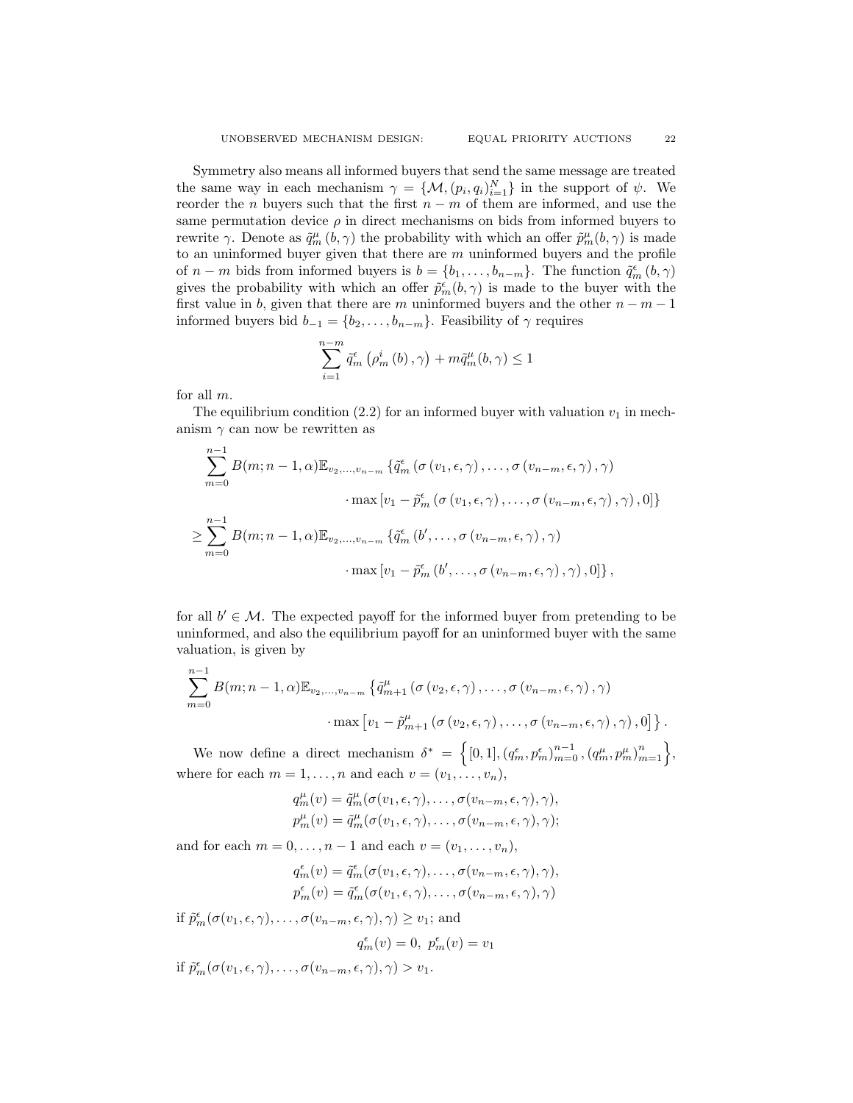Symmetry also means all informed buyers that send the same message are treated the same way in each mechanism  $\gamma = \{M, (p_i, q_i)_{i=1}^N\}$  in the support of  $\psi$ . We reorder the *n* buyers such that the first  $n - m$  of them are informed, and use the same permutation device  $\rho$  in direct mechanisms on bids from informed buyers to rewrite  $\gamma$ . Denote as  $\tilde{q}_m^{\mu}(b,\gamma)$  the probability with which an offer  $\tilde{p}_m^{\mu}(b,\gamma)$  is made to an uninformed buyer given that there are  $m$  uninformed buyers and the profile of  $n - m$  bids from informed buyers is  $b = \{b_1, \ldots, b_{n-m}\}$ . The function  $\tilde{q}_m^{\epsilon}(b, \gamma)$ gives the probability with which an offer  $\tilde{p}_m^{\epsilon}(b,\gamma)$  is made to the buyer with the first value in b, given that there are m uninformed buyers and the other  $n - m - 1$ informed buyers bid  $b_{-1} = \{b_2, \ldots, b_{n-m}\}.$  Feasibility of  $\gamma$  requires

$$
\sum_{i=1}^{n-m} \tilde{q}_m^{\epsilon} \left( \rho_m^i \left( b \right), \gamma \right) + m \tilde{q}_m^{\mu} (b, \gamma) \le 1
$$

for all m.

The equilibrium condition (2.2) for an informed buyer with valuation  $v_1$  in mechanism  $\gamma$  can now be rewritten as

$$
\sum_{m=0}^{n-1} B(m; n-1, \alpha) \mathbb{E}_{v_2, \dots, v_{n-m}} \left\{ \tilde{q}_m^{\epsilon} \left( \sigma(v_1, \epsilon, \gamma), \dots, \sigma(v_{n-m}, \epsilon, \gamma), \gamma \right) \right.\cdot \max \left[ v_1 - \tilde{p}_m^{\epsilon} \left( \sigma(v_1, \epsilon, \gamma), \dots, \sigma(v_{n-m}, \epsilon, \gamma), \gamma \right), 0 \right] \right\}
$$
  

$$
\geq \sum_{m=0}^{n-1} B(m; n-1, \alpha) \mathbb{E}_{v_2, \dots, v_{n-m}} \left\{ \tilde{q}_m^{\epsilon} \left( b', \dots, \sigma(v_{n-m}, \epsilon, \gamma), \gamma \right) \right.\cdot \max \left[ v_1 - \tilde{p}_m^{\epsilon} \left( b', \dots, \sigma(v_{n-m}, \epsilon, \gamma), \gamma \right), 0 \right] \right\},
$$

for all  $b' \in \mathcal{M}$ . The expected payoff for the informed buyer from pretending to be uninformed, and also the equilibrium payoff for an uninformed buyer with the same valuation, is given by

$$
\sum_{m=0}^{n-1} B(m; n-1, \alpha) \mathbb{E}_{v_2, \dots, v_{n-m}} \left\{ \tilde{q}_{m+1}^{\mu} \left( \sigma(v_2, \epsilon, \gamma), \dots, \sigma(v_{n-m}, \epsilon, \gamma), \gamma \right) \right. \\ \left. \cdot \max \left[ v_1 - \tilde{p}_{m+1}^{\mu} \left( \sigma(v_2, \epsilon, \gamma), \dots, \sigma(v_{n-m}, \epsilon, \gamma), \gamma \right), 0 \right] \right\}.
$$

We now define a direct mechanism  $\delta^* = \left\{ [0,1], (q_m^{\epsilon}, p_m^{\epsilon})_{m=0}^{n-1}, (q_m^{\mu}, p_m^{\mu})_{m=1}^{n} \right\},\$ where for each  $m = 1, \ldots, n$  and each  $v = (v_1, \ldots, v_n)$ ,

$$
q_m^{\mu}(v) = \tilde{q}_m^{\mu}(\sigma(v_1, \epsilon, \gamma), \dots, \sigma(v_{n-m}, \epsilon, \gamma), \gamma),
$$
  

$$
p_m^{\mu}(v) = \tilde{q}_m^{\mu}(\sigma(v_1, \epsilon, \gamma), \dots, \sigma(v_{n-m}, \epsilon, \gamma), \gamma);
$$

and for each  $m = 0, \ldots, n - 1$  and each  $v = (v_1, \ldots, v_n)$ ,

$$
q_m^{\epsilon}(v) = \tilde{q}_m^{\epsilon}(\sigma(v_1, \epsilon, \gamma), \dots, \sigma(v_{n-m}, \epsilon, \gamma), \gamma),
$$
  

$$
p_m^{\epsilon}(v) = \tilde{q}_m^{\epsilon}(\sigma(v_1, \epsilon, \gamma), \dots, \sigma(v_{n-m}, \epsilon, \gamma), \gamma)
$$

if  $\tilde{p}_m^{\epsilon}(\sigma(v_1,\epsilon,\gamma),\ldots,\sigma(v_{n-m},\epsilon,\gamma),\gamma) \ge v_1$ ; and

$$
q_m^{\epsilon}(v) = 0, \ p_m^{\epsilon}(v) = v_1
$$

if  $\tilde{p}_m^{\epsilon}(\sigma(v_1,\epsilon,\gamma),\ldots,\sigma(v_{n-m},\epsilon,\gamma),\gamma) > v_1.$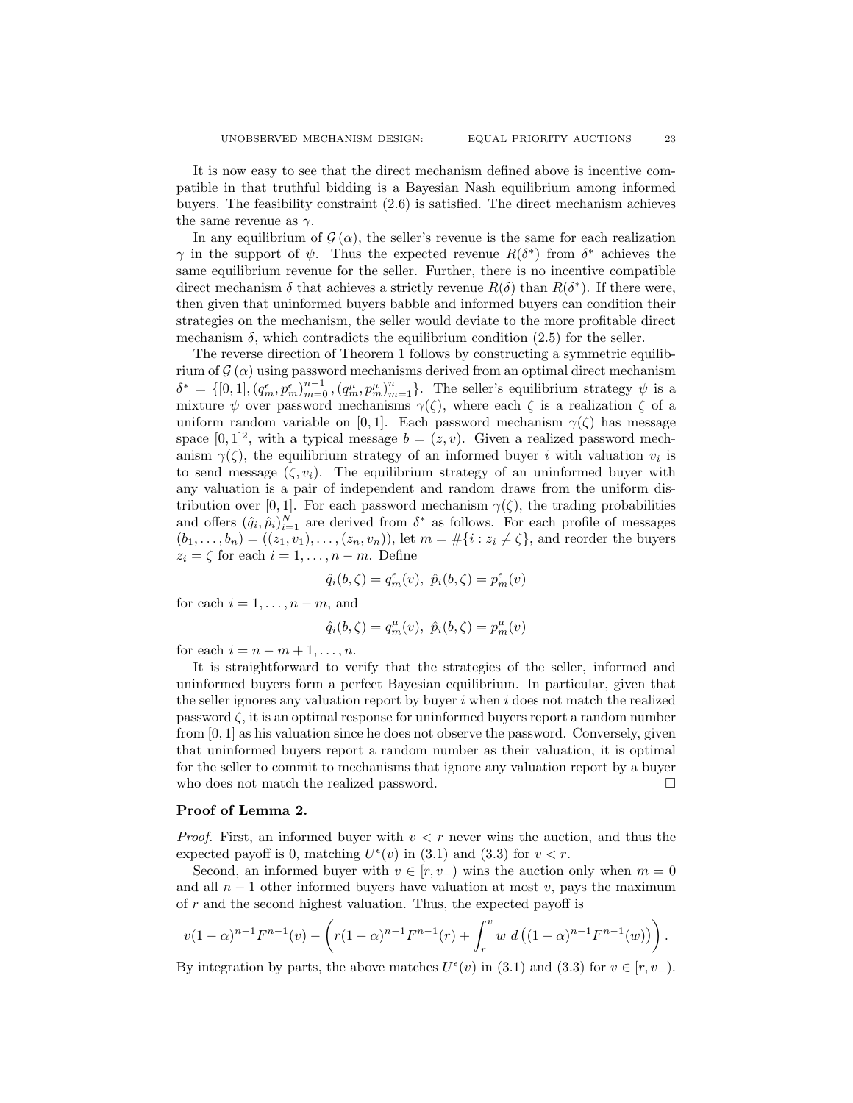It is now easy to see that the direct mechanism defined above is incentive compatible in that truthful bidding is a Bayesian Nash equilibrium among informed buyers. The feasibility constraint (2.6) is satisfied. The direct mechanism achieves the same revenue as  $\gamma$ .

In any equilibrium of  $\mathcal{G}(\alpha)$ , the seller's revenue is the same for each realization  $\gamma$  in the support of  $\psi$ . Thus the expected revenue  $R(\delta^*)$  from  $\delta^*$  achieves the same equilibrium revenue for the seller. Further, there is no incentive compatible direct mechanism  $\delta$  that achieves a strictly revenue  $R(\delta)$  than  $R(\delta^*)$ . If there were, then given that uninformed buyers babble and informed buyers can condition their strategies on the mechanism, the seller would deviate to the more profitable direct mechanism  $\delta$ , which contradicts the equilibrium condition (2.5) for the seller.

The reverse direction of Theorem 1 follows by constructing a symmetric equilibrium of  $\mathcal{G}(\alpha)$  using password mechanisms derived from an optimal direct mechanism  $\delta^* = \{ [0,1], (q_m^{\epsilon}, p_m^{\epsilon})_{m=0}^{n-1}, (q_m^{\mu}, p_m^{\mu})_{m=1}^{n} \}$ . The seller's equilibrium strategy  $\psi$  is a mixture  $\psi$  over password mechanisms  $\gamma(\zeta)$ , where each  $\zeta$  is a realization  $\zeta$  of a uniform random variable on [0, 1]. Each password mechanism  $\gamma(\zeta)$  has message space  $[0,1]^2$ , with a typical message  $b = (z, v)$ . Given a realized password mechanism  $\gamma(\zeta)$ , the equilibrium strategy of an informed buyer i with valuation  $v_i$  is to send message  $(\zeta, v_i)$ . The equilibrium strategy of an uninformed buyer with any valuation is a pair of independent and random draws from the uniform distribution over [0, 1]. For each password mechanism  $\gamma(\zeta)$ , the trading probabilities and offers  $(\hat{q}_i, \hat{p}_i)_{i=1}^N$  are derived from  $\delta^*$  as follows. For each profile of messages  $(b_1, ..., b_n) = ((z_1, v_1), ..., (z_n, v_n)),$  let  $m = \#\{i : z_i \neq \zeta\}$ , and reorder the buyers  $z_i = \zeta$  for each  $i = 1, \ldots, n - m$ . Define

$$
\hat{q}_i(b,\zeta) = q_m^{\epsilon}(v), \ \hat{p}_i(b,\zeta) = p_m^{\epsilon}(v)
$$

for each  $i = 1, \ldots, n - m$ , and

$$
\hat{q}_i(b,\zeta) = q_m^{\mu}(v), \ \hat{p}_i(b,\zeta) = p_m^{\mu}(v)
$$

for each  $i = n - m + 1, \ldots, n$ .

It is straightforward to verify that the strategies of the seller, informed and uninformed buyers form a perfect Bayesian equilibrium. In particular, given that the seller ignores any valuation report by buyer  $i$  when  $i$  does not match the realized password  $\zeta$ , it is an optimal response for uninformed buyers report a random number from [0, 1] as his valuation since he does not observe the password. Conversely, given that uninformed buyers report a random number as their valuation, it is optimal for the seller to commit to mechanisms that ignore any valuation report by a buyer who does not match the realized password.  $\square$ 

# Proof of Lemma 2.

*Proof.* First, an informed buyer with  $v < r$  never wins the auction, and thus the expected payoff is 0, matching  $U^{\epsilon}(v)$  in (3.1) and (3.3) for  $v < r$ .

Second, an informed buyer with  $v \in [r, v_+)$  wins the auction only when  $m = 0$ and all  $n-1$  other informed buyers have valuation at most v, pays the maximum of  $r$  and the second highest valuation. Thus, the expected payoff is

$$
v(1-\alpha)^{n-1}F^{n-1}(v) - \left(r(1-\alpha)^{n-1}F^{n-1}(r) + \int_r^v w \ d\left((1-\alpha)^{n-1}F^{n-1}(w)\right)\right).
$$

By integration by parts, the above matches  $U^{\epsilon}(v)$  in (3.1) and (3.3) for  $v \in [r, v_-)$ .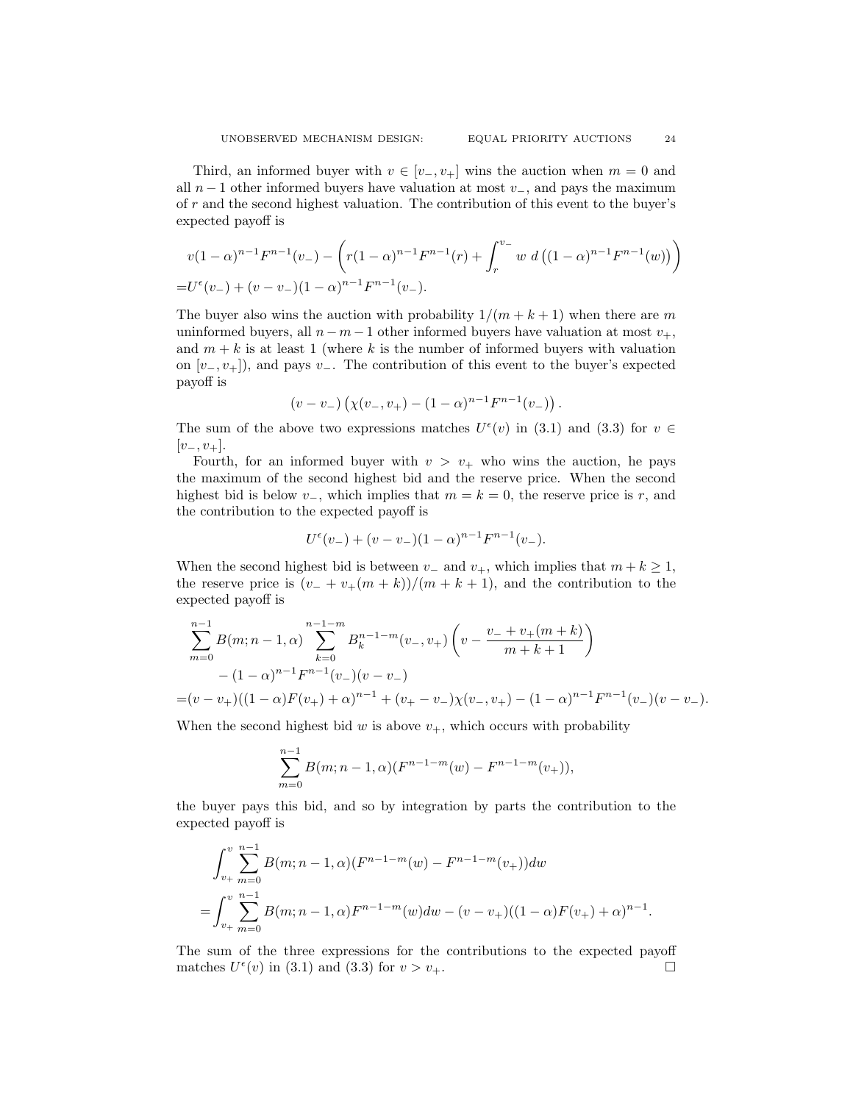Third, an informed buyer with  $v \in [v_-, v_+]$  wins the auction when  $m = 0$  and all  $n-1$  other informed buyers have valuation at most  $v_$ , and pays the maximum of r and the second highest valuation. The contribution of this event to the buyer's expected payoff is

$$
v(1-\alpha)^{n-1}F^{n-1}(v_{-}) - \left(r(1-\alpha)^{n-1}F^{n-1}(r) + \int_{r}^{v_{-}} w \ d\left((1-\alpha)^{n-1}F^{n-1}(w)\right)\right)
$$
  
=  $U^{\epsilon}(v_{-}) + (v-v_{-})(1-\alpha)^{n-1}F^{n-1}(v_{-}).$ 

The buyer also wins the auction with probability  $1/(m + k + 1)$  when there are m uninformed buyers, all  $n-m-1$  other informed buyers have valuation at most  $v_{+}$ , and  $m + k$  is at least 1 (where k is the number of informed buyers with valuation on  $[v_-, v_+]$ , and pays  $v_-.$  The contribution of this event to the buyer's expected payoff is

$$
(v-v_-)\left(\chi(v_-,v_+)-(1-\alpha)^{n-1}F^{n-1}(v_-)\right).
$$

The sum of the above two expressions matches  $U^{\epsilon}(v)$  in (3.1) and (3.3) for  $v \in$  $[v_-, v_+]$ .

Fourth, for an informed buyer with  $v > v_+$  who wins the auction, he pays the maximum of the second highest bid and the reserve price. When the second highest bid is below  $v_-,$ , which implies that  $m = k = 0$ , the reserve price is r, and the contribution to the expected payoff is

$$
U^{\epsilon}(v_{-}) + (v - v_{-})(1 - \alpha)^{n-1}F^{n-1}(v_{-}).
$$

When the second highest bid is between  $v_$  and  $v_+$ , which implies that  $m + k \geq 1$ , the reserve price is  $(v_- + v_+(m+k))/(m+k+1)$ , and the contribution to the expected payoff is

$$
\sum_{m=0}^{n-1} B(m; n-1, \alpha) \sum_{k=0}^{n-1-m} B_k^{n-1-m}(v_-, v_+) \left(v - \frac{v_- + v_+(m+k)}{m+k+1}\right)
$$
  
-(1-\alpha)^{n-1}F^{n-1}(v\_-)(v-v\_-)  
=(v-v\_+)((1-\alpha)F(v\_+) + \alpha)^{n-1} + (v\_+ - v\_-)\chi(v\_-, v\_+) - (1-\alpha)^{n-1}F^{n-1}(v\_-)(v-v\_-).

When the second highest bid  $w$  is above  $v_{+}$ , which occurs with probability

$$
\sum_{m=0}^{n-1} B(m; n-1, \alpha)(F^{n-1-m}(w) - F^{n-1-m}(v_+)),
$$

the buyer pays this bid, and so by integration by parts the contribution to the expected payoff is

$$
\int_{v_+}^{v} \sum_{m=0}^{n-1} B(m; n-1, \alpha) (F^{n-1-m}(w) - F^{n-1-m}(v_+)) dw
$$
  
= 
$$
\int_{v_+}^{v} \sum_{m=0}^{n-1} B(m; n-1, \alpha) F^{n-1-m}(w) dw - (v-v_+)((1-\alpha)F(v_+) + \alpha)^{n-1}.
$$

The sum of the three expressions for the contributions to the expected payoff matches  $U^{\epsilon}(v)$  in (3.1) and (3.3) for  $v > v_{+}$ .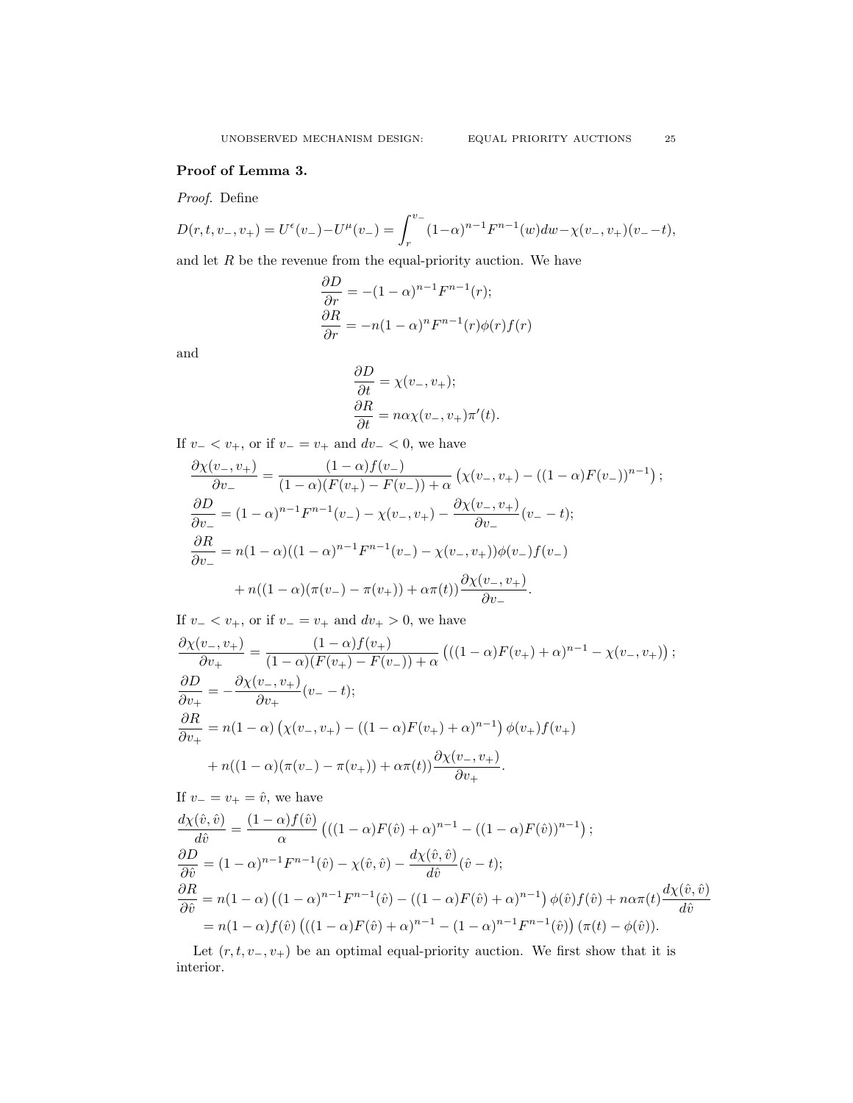# Proof of Lemma 3.

Proof. Define

$$
D(r,t,v_-,v_+) = U^{\epsilon}(v_-) - U^{\mu}(v_-) = \int_r^{v_-} (1-\alpha)^{n-1} F^{n-1}(w) dw - \chi(v_-,v_+)(v_- - t),
$$

and let  $R$  be the revenue from the equal-priority auction. We have

$$
\frac{\partial D}{\partial r} = -(1 - \alpha)^{n-1} F^{n-1}(r);
$$
  

$$
\frac{\partial R}{\partial r} = -n(1 - \alpha)^n F^{n-1}(r) \phi(r) f(r)
$$

and

$$
\begin{aligned} \frac{\partial D}{\partial t} &= \chi(v_-, v_+);\\ \frac{\partial R}{\partial t} &= n\alpha \chi(v_-, v_+) \pi'(t). \end{aligned}
$$

If  $v - < v_+$ , or if  $v - = v_+$  and  $dv - < 0$ , we have

$$
\frac{\partial \chi(v_-, v_+)}{\partial v_-} = \frac{(1 - \alpha)f(v_-)}{(1 - \alpha)(F(v_+) - F(v_-)) + \alpha} \left( \chi(v_-, v_+) - ((1 - \alpha)F(v_-))^{n-1} \right);
$$
  
\n
$$
\frac{\partial D}{\partial v_-} = (1 - \alpha)^{n-1} F^{n-1}(v_-) - \chi(v_-, v_+) - \frac{\partial \chi(v_-, v_+)}{\partial v_-}(v_- - t);
$$
  
\n
$$
\frac{\partial R}{\partial v_-} = n(1 - \alpha)((1 - \alpha)^{n-1} F^{n-1}(v_-) - \chi(v_-, v_+))\phi(v_-)f(v_-)
$$
  
\n
$$
+ n((1 - \alpha)(\pi(v_-) - \pi(v_+)) + \alpha\pi(t))\frac{\partial \chi(v_-, v_+)}{\partial v_-}.
$$

If  $v - < v_+$ , or if  $v - = v_+$  and  $dv_+ > 0$ , we have

$$
\frac{\partial \chi(v_-, v_+)}{\partial v_+} = \frac{(1 - \alpha)f(v_+)}{(1 - \alpha)(F(v_+) - F(v_-)) + \alpha} \left(((1 - \alpha)F(v_+) + \alpha)^{n-1} - \chi(v_-, v_+) \right);
$$
  
\n
$$
\frac{\partial D}{\partial v_+} = -\frac{\partial \chi(v_-, v_+)}{\partial v_+} (v_- - t);
$$
  
\n
$$
\frac{\partial R}{\partial v_+} = n(1 - \alpha) \left( \chi(v_-, v_+) - ((1 - \alpha)F(v_+) + \alpha)^{n-1} \right) \phi(v_+) f(v_+)
$$
  
\n
$$
+ n((1 - \alpha)(\pi(v_-) - \pi(v_+)) + \alpha \pi(t)) \frac{\partial \chi(v_-, v_+)}{\partial v_+}.
$$

If  $v_ - = v_ + = \hat{v}$ , we have

$$
\frac{d\chi(\hat{v},\hat{v})}{d\hat{v}} = \frac{(1-\alpha)f(\hat{v})}{\alpha} \left( ((1-\alpha)F(\hat{v}) + \alpha)^{n-1} - ((1-\alpha)F(\hat{v}))^{n-1} \right);
$$
\n
$$
\frac{\partial D}{\partial \hat{v}} = (1-\alpha)^{n-1}F^{n-1}(\hat{v}) - \chi(\hat{v},\hat{v}) - \frac{d\chi(\hat{v},\hat{v})}{d\hat{v}}(\hat{v}-t);
$$
\n
$$
\frac{\partial R}{\partial \hat{v}} = n(1-\alpha) \left( (1-\alpha)^{n-1}F^{n-1}(\hat{v}) - ((1-\alpha)F(\hat{v}) + \alpha)^{n-1} \right) \phi(\hat{v})f(\hat{v}) + n\alpha\pi(t)\frac{d\chi(\hat{v},\hat{v})}{d\hat{v}}
$$
\n
$$
= n(1-\alpha)f(\hat{v}) \left( ((1-\alpha)F(\hat{v}) + \alpha)^{n-1} - (1-\alpha)^{n-1}F^{n-1}(\hat{v}) \right) (\pi(t) - \phi(\hat{v})).
$$

Let  $(r, t, v_-, v_+)$  be an optimal equal-priority auction. We first show that it is interior.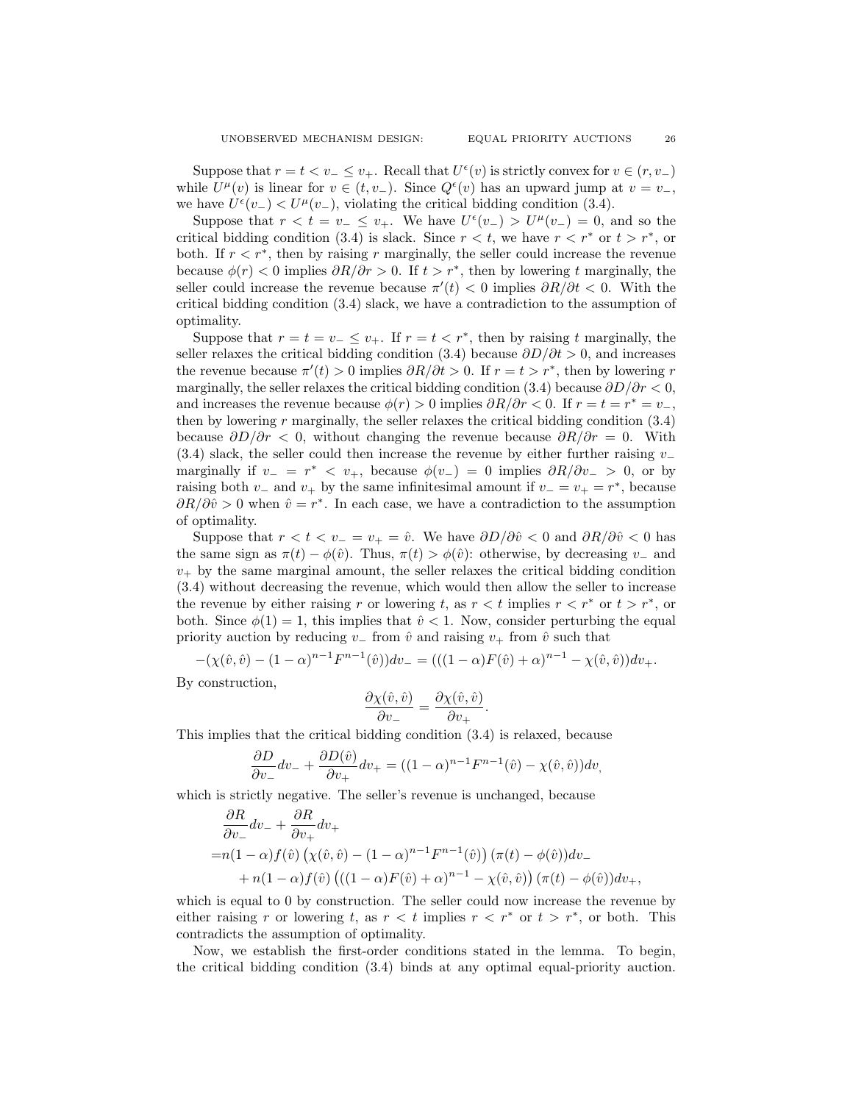Suppose that  $r = t < v_-\leq v_+$ . Recall that  $U^{\epsilon}(v)$  is strictly convex for  $v \in (r, v_-)$ while  $U^{\mu}(v)$  is linear for  $v \in (t, v_-)$ . Since  $Q^{\epsilon}(v)$  has an upward jump at  $v = v_-,$ we have  $U^{\epsilon}(v_{-}) < U^{\mu}(v_{-}),$  violating the critical bidding condition (3.4).

Suppose that  $r < t = v_- \le v_+$ . We have  $U^{\epsilon}(v_-) > U^{\mu}(v_-) = 0$ , and so the critical bidding condition  $(3.4)$  is slack. Since  $r < t$ , we have  $r < r^*$  or  $t > r^*$ , or both. If  $r < r^*$ , then by raising r marginally, the seller could increase the revenue because  $\phi(r) < 0$  implies  $\partial R/\partial r > 0$ . If  $t > r^*$ , then by lowering t marginally, the seller could increase the revenue because  $\pi'(t) < 0$  implies  $\partial R/\partial t < 0$ . With the critical bidding condition (3.4) slack, we have a contradiction to the assumption of optimality.

Suppose that  $r = t = v_-\leq v_+$ . If  $r = t < r^*$ , then by raising t marginally, the seller relaxes the critical bidding condition (3.4) because  $\partial D/\partial t > 0$ , and increases the revenue because  $\pi'(t) > 0$  implies  $\partial R/\partial t > 0$ . If  $r = t > r^*$ , then by lowering r marginally, the seller relaxes the critical bidding condition (3.4) because  $\partial D/\partial r < 0$ , and increases the revenue because  $\phi(r) > 0$  implies  $\partial R/\partial r < 0$ . If  $r = t = r^* = v_-,$ then by lowering  $r$  marginally, the seller relaxes the critical bidding condition  $(3.4)$ because  $\partial D/\partial r < 0$ , without changing the revenue because  $\partial R/\partial r = 0$ . With (3.4) slack, the seller could then increase the revenue by either further raising  $v_$ marginally if  $v = r^* < v_+$ , because  $\phi(v_-) = 0$  implies  $\partial R/\partial v_- > 0$ , or by raising both  $v_+$  and  $v_+$  by the same infinitesimal amount if  $v_- = v_+ = r^*$ , because  $\partial R/\partial \tilde{v} > 0$  when  $\hat{v} = r^*$ . In each case, we have a contradiction to the assumption of optimality.

Suppose that  $r < t < v_-=v_+=\hat{v}$ . We have  $\partial D/\partial \hat{v} < 0$  and  $\partial R/\partial \hat{v} < 0$  has the same sign as  $\pi(t) - \phi(\hat{v})$ . Thus,  $\pi(t) > \phi(\hat{v})$ : otherwise, by decreasing v<sub>-</sub> and  $v_{+}$  by the same marginal amount, the seller relaxes the critical bidding condition (3.4) without decreasing the revenue, which would then allow the seller to increase the revenue by either raising r or lowering t, as  $r < t$  implies  $r < r^*$  or  $t > r^*$ , or both. Since  $\phi(1) = 1$ , this implies that  $\hat{v} < 1$ . Now, consider perturbing the equal priority auction by reducing  $v_+$  from  $\hat{v}$  and raising  $v_+$  from  $\hat{v}$  such that

$$
-(\chi(\hat{v},\hat{v})-(1-\alpha)^{n-1}F^{n-1}(\hat{v}))dv_- = (((1-\alpha)F(\hat{v})+\alpha)^{n-1}-\chi(\hat{v},\hat{v}))dv_+.
$$

By construction,

$$
\frac{\partial \chi(\hat{v}, \hat{v})}{\partial v_-} = \frac{\partial \chi(\hat{v}, \hat{v})}{\partial v_+}.
$$

This implies that the critical bidding condition (3.4) is relaxed, because

$$
\frac{\partial D}{\partial v_-}dv_- + \frac{\partial D(\hat{v})}{\partial v_+}dv_+ = ((1 - \alpha)^{n-1}F^{n-1}(\hat{v}) - \chi(\hat{v}, \hat{v}))dv,
$$

which is strictly negative. The seller's revenue is unchanged, because

$$
\frac{\partial R}{\partial v_{-}}dv_{-} + \frac{\partial R}{\partial v_{+}}dv_{+}
$$
\n
$$
= n(1 - \alpha)f(\hat{v}) \left(\chi(\hat{v}, \hat{v}) - (1 - \alpha)^{n-1}F^{n-1}(\hat{v})\right) (\pi(t) - \phi(\hat{v})) dv_{-}
$$
\n
$$
+ n(1 - \alpha)f(\hat{v}) \left(((1 - \alpha)F(\hat{v}) + \alpha)^{n-1} - \chi(\hat{v}, \hat{v})\right) (\pi(t) - \phi(\hat{v})) dv_{+},
$$

which is equal to 0 by construction. The seller could now increase the revenue by either raising r or lowering t, as  $r < t$  implies  $r < r^*$  or  $t > r^*$ , or both. This contradicts the assumption of optimality.

Now, we establish the first-order conditions stated in the lemma. To begin, the critical bidding condition (3.4) binds at any optimal equal-priority auction.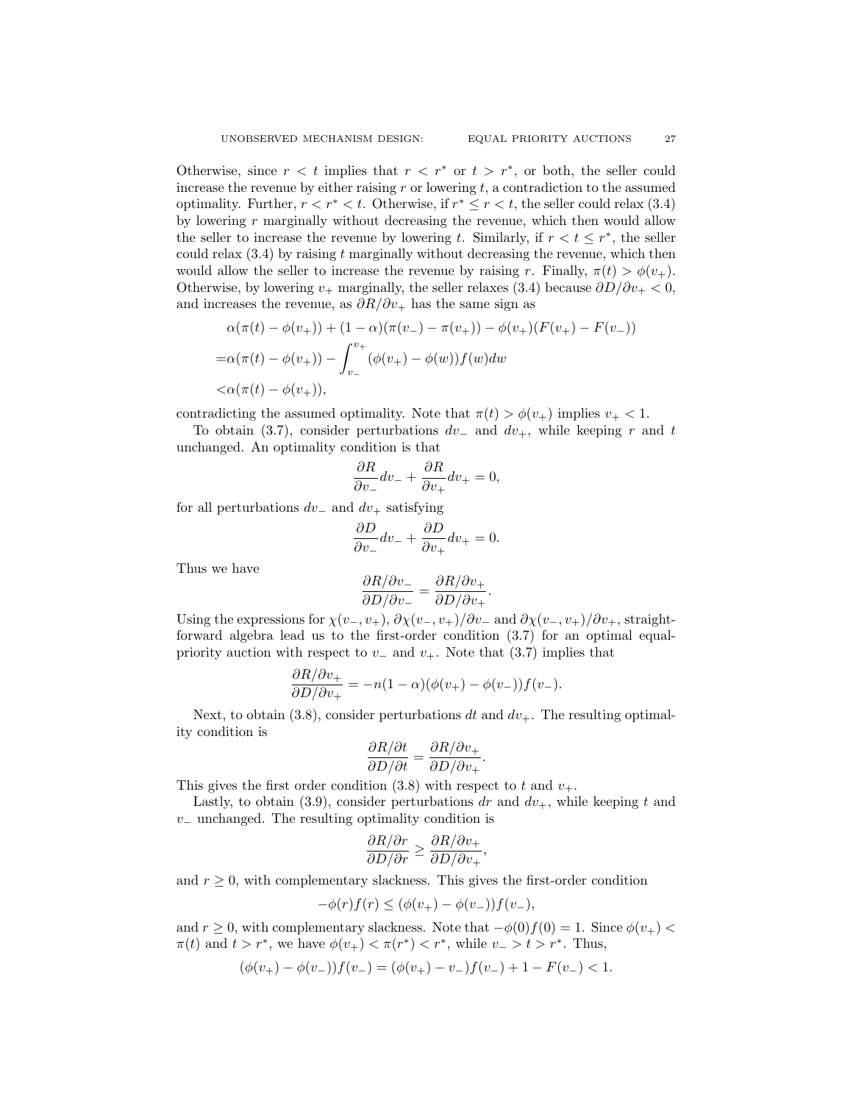Otherwise, since  $r < t$  implies that  $r < r^*$  or  $t > r^*$ , or both, the seller could increase the revenue by either raising  $r$  or lowering  $t$ , a contradiction to the assumed optimality. Further,  $r < r^* < t$ . Otherwise, if  $r^* \le r < t$ , the seller could relax (3.4) by lowering  $r$  marginally without decreasing the revenue, which then would allow the seller to increase the revenue by lowering t. Similarly, if  $r < t \leq r^*$ , the seller could relax  $(3.4)$  by raising t marginally without decreasing the revenue, which then would allow the seller to increase the revenue by raising r. Finally,  $\pi(t) > \phi(v_+)$ . Otherwise, by lowering  $v_+$  marginally, the seller relaxes (3.4) because  $\partial D/\partial v_+ < 0$ , and increases the revenue, as  $\partial R/\partial v_+$  has the same sign as

$$
\alpha(\pi(t) - \phi(v_+)) + (1 - \alpha)(\pi(v_-) - \pi(v_+)) - \phi(v_+)(F(v_+) - F(v_-))
$$
  
=\alpha(\pi(t) - \phi(v\_+)) - \int\_{v\_-}^{v\_+} (\phi(v\_+) - \phi(w)) f(w) dw  
<\alpha(\pi(t) - \phi(v\_+)),

contradicting the assumed optimality. Note that  $\pi(t) > \phi(v_+)$  implies  $v_+ < 1$ .

To obtain (3.7), consider perturbations  $dv_+$  and  $dv_+$ , while keeping r and t unchanged. An optimality condition is that

$$
\frac{\partial R}{\partial v_-}dv_- + \frac{\partial R}{\partial v_+}dv_+ = 0,
$$

for all perturbations  $dv_$  and  $dv_+$  satisfying

$$
\frac{\partial D}{\partial v_-}dv_- + \frac{\partial D}{\partial v_+}dv_+ = 0.
$$

Thus we have

$$
\frac{\partial R/\partial v_-}{\partial D/\partial v_-} = \frac{\partial R/\partial v_+}{\partial D/\partial v_+}.
$$

Using the expressions for  $\chi(v_-, v_+), \partial \chi(v_-, v_+)/\partial v_-\$  and  $\partial \chi(v_-, v_+)/\partial v_+\$ , straightforward algebra lead us to the first-order condition (3.7) for an optimal equalpriority auction with respect to  $v_+$  and  $v_+$ . Note that (3.7) implies that

$$
\frac{\partial R/\partial v_+}{\partial D/\partial v_+} = -n(1-\alpha)(\phi(v_+)-\phi(v_-))f(v_-).
$$

Next, to obtain (3.8), consider perturbations dt and  $dv_+$ . The resulting optimality condition is

$$
\frac{\partial R/\partial t}{\partial D/\partial t} = \frac{\partial R/\partial v_+}{\partial D/\partial v_+}.
$$

This gives the first order condition (3.8) with respect to t and  $v_{+}$ .

Lastly, to obtain (3.9), consider perturbations dr and  $dv_+$ , while keeping t and  $v_$  unchanged. The resulting optimality condition is

$$
\frac{\partial R/\partial r}{\partial D/\partial r} \ge \frac{\partial R/\partial v_+}{\partial D/\partial v_+}
$$

,

and  $r \geq 0$ , with complementary slackness. This gives the first-order condition

$$
-\phi(r)f(r) \le (\phi(v_+) - \phi(v_-))f(v_-),
$$

and  $r \geq 0$ , with complementary slackness. Note that  $-\phi(0)f(0) = 1$ . Since  $\phi(v_+)$  $\pi(t)$  and  $t > r^*$ , we have  $\phi(v_+) < \pi(r^*) < r^*$ , while  $v_- > t > r^*$ . Thus,

$$
(\phi(v_+) - \phi(v_-))f(v_-) = (\phi(v_+) - v_-)f(v_-) + 1 - F(v_-) < 1.
$$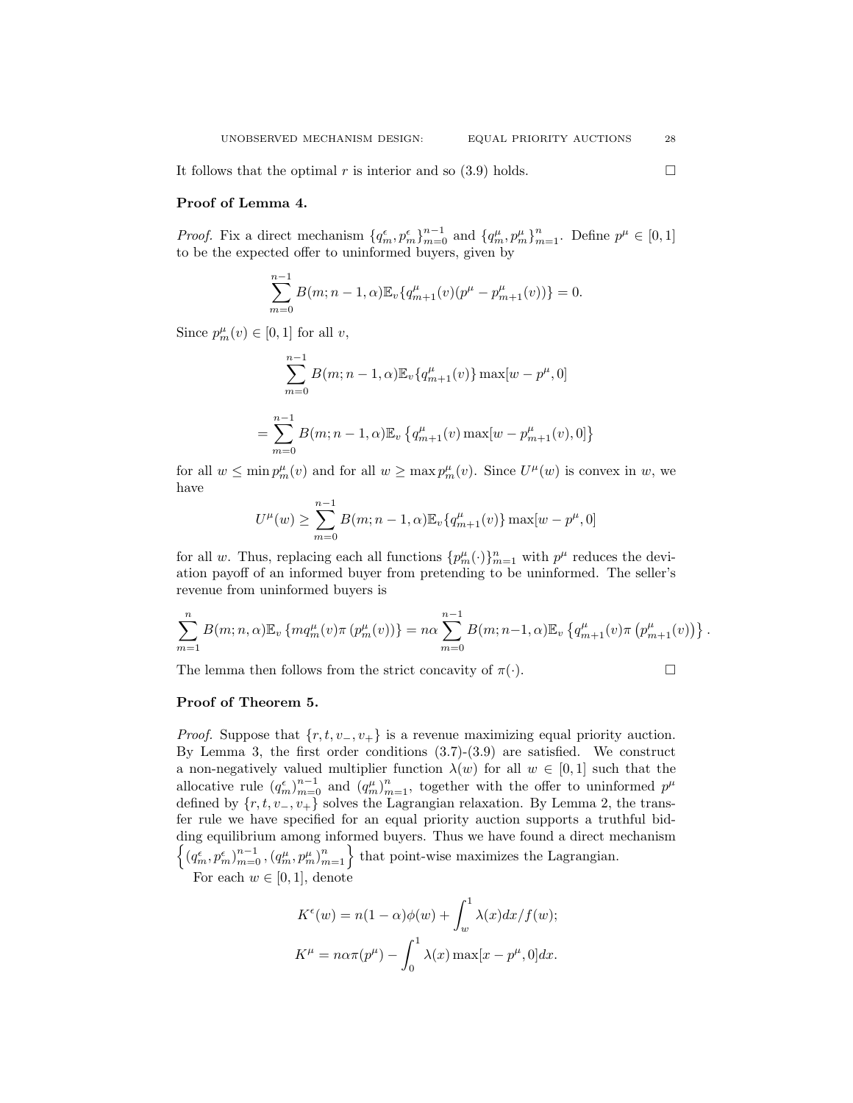# Proof of Lemma 4.

*Proof.* Fix a direct mechanism  $\{q_m^{\epsilon}, p_m^{\epsilon}\}_{m=0}^{n-1}$  and  $\{q_m^{\mu}, p_m^{\mu}\}_{m=1}^{n}$ . Define  $p^{\mu} \in [0, 1]$ to be the expected offer to uninformed buyers, given by

$$
\sum_{m=0}^{n-1} B(m; n-1, \alpha) \mathbb{E}_{v} \{ q_{m+1}^{\mu}(v) (p^{\mu} - p_{m+1}^{\mu}(v)) \} = 0.
$$

Since  $p_m^{\mu}(v) \in [0,1]$  for all v,

$$
\sum_{m=0}^{n-1} B(m; n-1, \alpha) \mathbb{E}_{v} \{q_{m+1}^{\mu}(v)\} \max[w - p^{\mu}, 0]
$$
  
= 
$$
\sum_{m=0}^{n-1} B(m; n-1, \alpha) \mathbb{E}_{v} \{q_{m+1}^{\mu}(v) \max[w - p_{m+1}^{\mu}(v), 0]\}
$$

for all  $w \le \min p_m^{\mu}(v)$  and for all  $w \ge \max p_m^{\mu}(v)$ . Since  $U^{\mu}(w)$  is convex in w, we have

$$
U^{\mu}(w) \ge \sum_{m=0}^{n-1} B(m; n-1, \alpha) \mathbb{E}_{v} \{q^{\mu}_{m+1}(v)\} \max[w - p^{\mu}, 0]
$$

for all w. Thus, replacing each all functions  $\{p_m^{\mu}(\cdot)\}_{m=1}^n$  with  $p^{\mu}$  reduces the deviation payoff of an informed buyer from pretending to be uninformed. The seller's revenue from uninformed buyers is

$$
\sum_{m=1}^{n} B(m; n, \alpha) \mathbb{E}_{v} \left\{ m q_{m}^{\mu}(v) \pi(p_{m}^{\mu}(v)) \right\} = n \alpha \sum_{m=0}^{n-1} B(m; n-1, \alpha) \mathbb{E}_{v} \left\{ q_{m+1}^{\mu}(v) \pi(p_{m+1}^{\mu}(v)) \right\}.
$$

The lemma then follows from the strict concavity of  $\pi(\cdot)$ .

$$
\qquad \qquad \Box
$$

### Proof of Theorem 5.

*Proof.* Suppose that  $\{r, t, v_-, v_+\}$  is a revenue maximizing equal priority auction. By Lemma 3, the first order conditions (3.7)-(3.9) are satisfied. We construct a non-negatively valued multiplier function  $\lambda(w)$  for all  $w \in [0,1]$  such that the allocative rule  $(q_m^{\epsilon})_{m=0}^{n-1}$  and  $(q_m^{\mu})_{m=1}^{n}$ , together with the offer to uninformed  $p^{\mu}$ defined by  $\{r, t, v_-, v_+\}$  solves the Lagrangian relaxation. By Lemma 2, the transfer rule we have specified for an equal priority auction supports a truthful bidding equilibrium among informed buyers. Thus we have found a direct mechanism  $\{(q_m^{\epsilon}, p_m^{\epsilon})_{m=0}^{n-1}, (q_m^{\mu}, p_m^{\mu})_{m=1}^{n}\}$  that point-wise maximizes the Lagrangian.

For each  $w \in [0, 1]$ , denote

$$
K^{\epsilon}(w) = n(1 - \alpha)\phi(w) + \int_{w}^{1} \lambda(x)dx/f(w);
$$
  

$$
K^{\mu} = n\alpha\pi(p^{\mu}) - \int_{0}^{1} \lambda(x) \max[x - p^{\mu}, 0] dx.
$$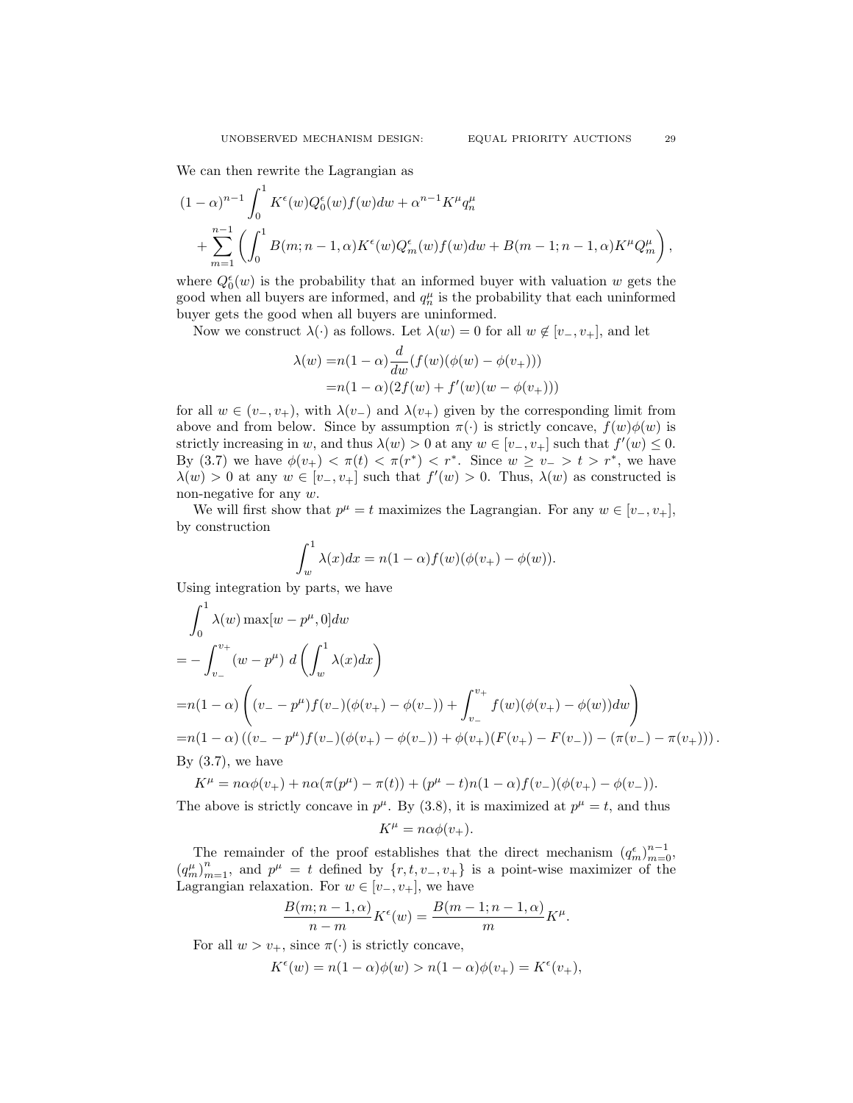We can then rewrite the Lagrangian as

$$
(1 - \alpha)^{n-1} \int_0^1 K^{\epsilon}(w) Q_0^{\epsilon}(w) f(w) dw + \alpha^{n-1} K^{\mu} q_n^{\mu}
$$
  
+ 
$$
\sum_{m=1}^{n-1} \left( \int_0^1 B(m; n-1, \alpha) K^{\epsilon}(w) Q_m^{\epsilon}(w) f(w) dw + B(m-1; n-1, \alpha) K^{\mu} Q_m^{\mu} \right),
$$

where  $Q_0^{\epsilon}(w)$  is the probability that an informed buyer with valuation w gets the good when all buyers are informed, and  $q_n^{\mu}$  is the probability that each uninformed buyer gets the good when all buyers are uninformed.

Now we construct  $\lambda(\cdot)$  as follows. Let  $\lambda(w) = 0$  for all  $w \notin [v_-, v_+]$ , and let

$$
\lambda(w) = n(1 - \alpha) \frac{d}{dw} (f(w)(\phi(w) - \phi(v_+)))
$$
  
= n(1 - \alpha)(2f(w) + f'(w)(w - \phi(v\_+)))

for all  $w \in (v_-, v_+)$ , with  $\lambda(v_-)$  and  $\lambda(v_+)$  given by the corresponding limit from above and from below. Since by assumption  $\pi(\cdot)$  is strictly concave,  $f(w)\phi(w)$  is strictly increasing in w, and thus  $\lambda(w) > 0$  at any  $w \in [v_-, v_+]$  such that  $f'(w) \leq 0$ . By (3.7) we have  $\phi(v_+) < \pi(t) < \pi(r^*) < r^*$ . Since  $w \ge v_- > t > r^*$ , we have  $\lambda(w) > 0$  at any  $w \in [v_-, v_+]$  such that  $f'(w) > 0$ . Thus,  $\lambda(w)$  as constructed is non-negative for any w.

We will first show that  $p^{\mu} = t$  maximizes the Lagrangian. For any  $w \in [v_-, v_+]$ , by construction

$$
\int_w^1 \lambda(x)dx = n(1-\alpha)f(w)(\phi(v_+) - \phi(w)).
$$

Using integration by parts, we have

$$
\int_0^1 \lambda(w) \max[w - p^{\mu}, 0] dw
$$
  
=  $-\int_{v_-}^{v_+} (w - p^{\mu}) d\left(\int_w^1 \lambda(x) dx\right)$   
=  $n(1 - \alpha) \left( (v_- - p^{\mu}) f(v_-) (\phi(v_+) - \phi(v_-)) + \int_{v_-}^{v_+} f(w) (\phi(v_+) - \phi(w)) dw \right)$   
=  $n(1 - \alpha) ((v_- - p^{\mu}) f(v_-) (\phi(v_+) - \phi(v_-)) + \phi(v_+) (F(v_+) - F(v_-)) - (\pi(v_-) - \pi(v_+)))$ .  
By (3.7), we have

$$
K^{\mu} = n\alpha\phi(v_{+}) + n\alpha(\pi(p^{\mu}) - \pi(t)) + (p^{\mu} - t)n(1 - \alpha)f(v_{-})(\phi(v_{+}) - \phi(v_{-})).
$$

The above is strictly concave in  $p^{\mu}$ . By (3.8), it is maximized at  $p^{\mu} = t$ , and thus

$$
K^{\mu} = n\alpha\phi(v_{+}).
$$

The remainder of the proof establishes that the direct mechanism  $(q_m^{\epsilon})_{m=0}^{n-1}$ ,  $(q_m^{\mu})_{m=1}^n$ , and  $p^{\mu} = t$  defined by  $\{r, t, v_-, v_+\}$  is a point-wise maximizer of the Lagrangian relaxation. For  $w \in [v_-, v_+]$ , we have

$$
\frac{B(m; n-1, \alpha)}{n-m} K^{\epsilon}(w) = \frac{B(m-1; n-1, \alpha)}{m} K^{\mu}.
$$

For all  $w > v_+$ , since  $\pi(\cdot)$  is strictly concave,

$$
K^{\epsilon}(w) = n(1 - \alpha)\phi(w) > n(1 - \alpha)\phi(v_+) = K^{\epsilon}(v_+),
$$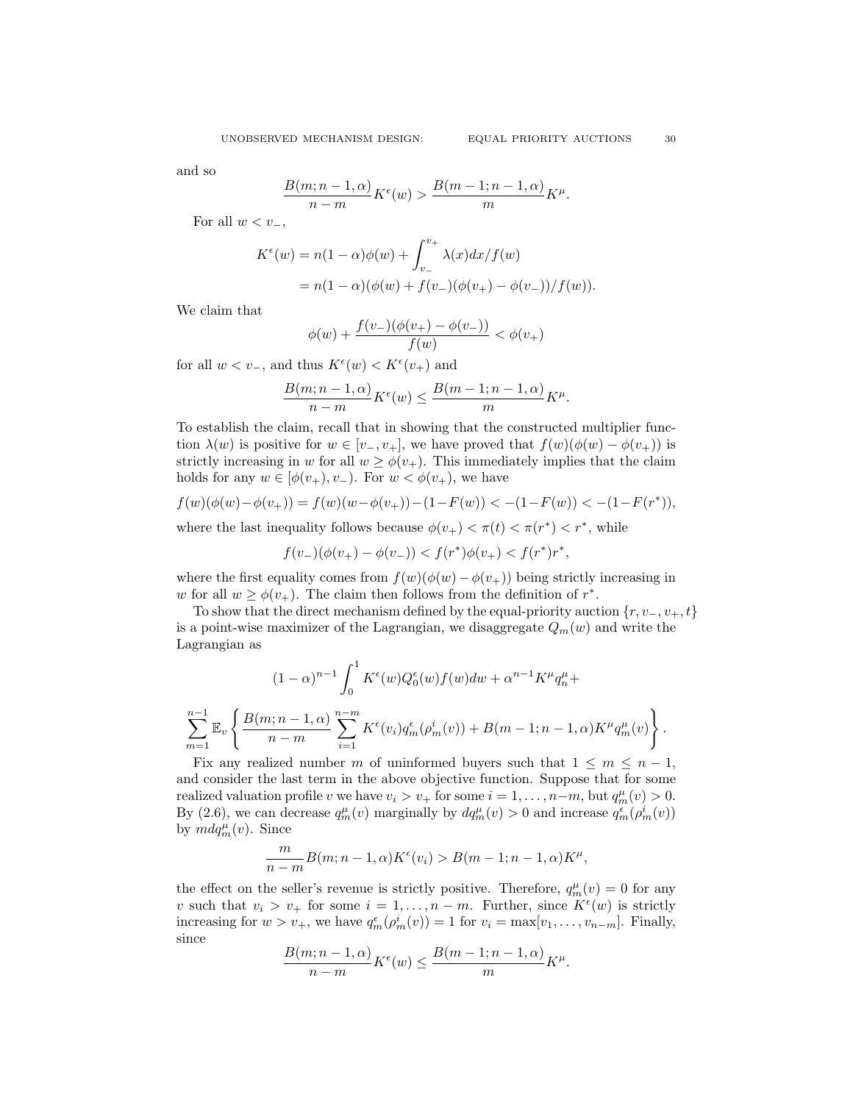and so

$$
\frac{B(m;n-1,\alpha)}{n-m}K^{\epsilon}(w) > \frac{B(m-1;n-1,\alpha)}{m}K^{\mu}.
$$

For all  $w < v_-,$ 

$$
K^{\epsilon}(w) = n(1 - \alpha)\phi(w) + \int_{v_{-}}^{v_{+}} \lambda(x)dx/f(w)
$$
  
=  $n(1 - \alpha)(\phi(w) + f(v_{-})(\phi(v_{+}) - \phi(v_{-}))/f(w)).$ 

We claim that

$$
\phi(w) + \frac{f(v_-)(\phi(v_+)-\phi(v_-))}{f(w)} < \phi(v_+)
$$

for all  $w < v_-,$  and thus  $K^{\epsilon}(w) < K^{\epsilon}(v_+)$  and

$$
\frac{B(m; n-1, \alpha)}{n-m} K^{\epsilon}(w) \le \frac{B(m-1; n-1, \alpha)}{m} K^{\mu}.
$$

To establish the claim, recall that in showing that the constructed multiplier function  $\lambda(w)$  is positive for  $w \in [v_-, v_+]$ , we have proved that  $f(w)(\phi(w) - \phi(v_+))$  is strictly increasing in w for all  $w \geq \phi(v_+)$ . This immediately implies that the claim holds for any  $w \in [\phi(v_+), v_-)$ . For  $w < \phi(v_+)$ , we have

$$
f(w)(\phi(w) - \phi(v_+)) = f(w)(w - \phi(v_+)) - (1 - F(w)) < -(1 - F(w)) < -(1 - F(r^*)),
$$

where the last inequality follows because  $\phi(v_+) < \pi(t) < \pi(r^*) < r^*$ , while

$$
f(v_-)(\phi(v_+) - \phi(v_-)) < f(r^*)\phi(v_+) < f(r^*)r^*,
$$

where the first equality comes from  $f(w)(\phi(w)-\phi(v_+))$  being strictly increasing in w for all  $w \geq \phi(v_+)$ . The claim then follows from the definition of  $r^*$ .

To show that the direct mechanism defined by the equal-priority auction  $\{r, v_-, v_+, t\}$ is a point-wise maximizer of the Lagrangian, we disaggregate  $Q_m(w)$  and write the Lagrangian as

$$
(1 - \alpha)^{n-1} \int_0^1 K^{\epsilon}(w) Q_0^{\epsilon}(w) f(w) dw + \alpha^{n-1} K^{\mu} q_n^{\mu} +
$$
  

$$
\sum_{m=1}^{n-1} \mathbb{E}_v \left\{ \frac{B(m; n-1, \alpha)}{n-m} \sum_{i=1}^{n-m} K^{\epsilon}(v_i) q_m^{\epsilon}(\rho_m^i(v)) + B(m-1; n-1, \alpha) K^{\mu} q_m^{\mu}(v) \right\}.
$$

Fix any realized number m of uninformed buyers such that  $1 \leq m \leq n-1$ , and consider the last term in the above objective function. Suppose that for some realized valuation profile v we have  $v_i > v_+$  for some  $i = 1, ..., n-m$ , but  $q_m^{\mu}(v) > 0$ . By (2.6), we can decrease  $q_m^{\mu}(v)$  marginally by  $dq_m^{\mu}(v) > 0$  and increase  $q_m^{\epsilon}(\rho_m^i(v))$ by  $mdq_m^{\mu}(v)$ . Since

$$
\frac{m}{n-m}B(m;n-1,\alpha)K^{\epsilon}(v_i) > B(m-1;n-1,\alpha)K^{\mu},
$$

the effect on the seller's revenue is strictly positive. Therefore,  $q_m^{\mu}(v) = 0$  for any v such that  $v_i > v_+$  for some  $i = 1, ..., n-m$ . Further, since  $K^{\epsilon}(w)$  is strictly increasing for  $w > v_+$ , we have  $q_m^{\epsilon}(\rho_m^i(v)) = 1$  for  $v_i = \max[v_1, \ldots, v_{n-m}]$ . Finally, since

$$
\frac{B(m; n-1, \alpha)}{n-m} K^{\epsilon}(w) \le \frac{B(m-1; n-1, \alpha)}{m} K^{\mu}.
$$